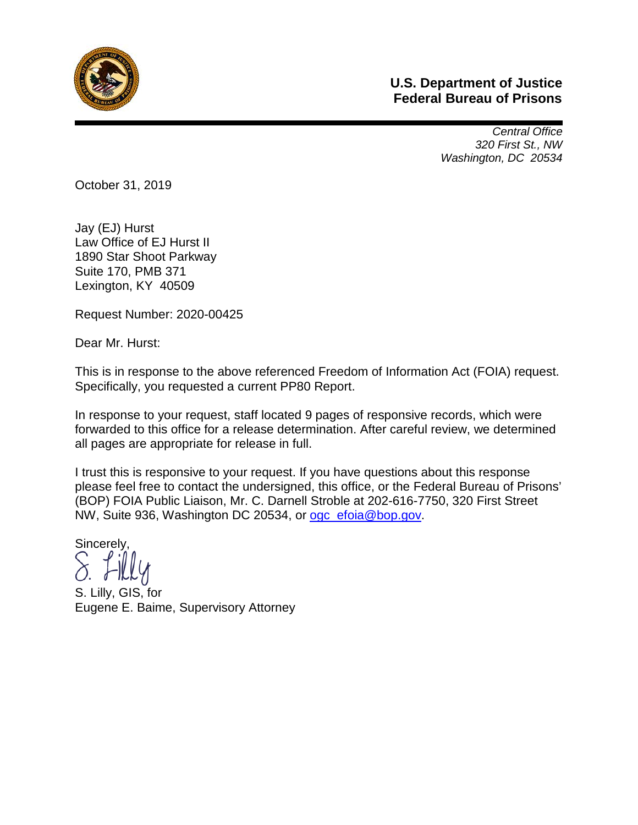

## **U.S. Department of Justice Federal Bureau of Prisons**

*Central Office 320 First St., NW Washington, DC 20534* 

October 31, 2019

Jay (EJ) Hurst Law Office of EJ Hurst II 1890 Star Shoot Parkway Suite 170, PMB 371 Lexington, KY 40509

Request Number: 2020-00425

Dear Mr. Hurst:

This is in response to the above referenced Freedom of Information Act (FOIA) request. Specifically, you requested a current PP80 Report.

In response to your request, staff located 9 pages of responsive records, which were forwarded to this office for a release determination. After careful review, we determined all pages are appropriate for release in full.

I trust this is responsive to your request. If you have questions about this response please feel free to contact the undersigned, this office, or the Federal Bureau of Prisons' (BOP) FOIA Public Liaison, Mr. C. Darnell Stroble at 202-616-7750, 320 First Street NW, Suite 936, Washington DC 20534, or [ogc\\_efoia@bop.gov.](mailto:ogc_efoia@bop.gov)

Sincerely,

S. Lilly, GIS, for Eugene E. Baime, Supervisory Attorney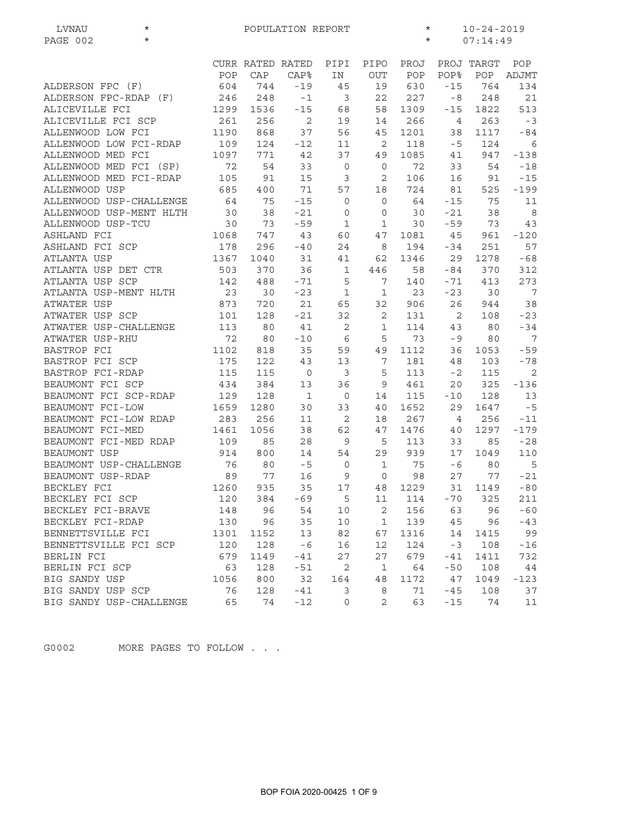| $^\star$<br>LVNAU       | POPULATION REPORT |                  |             |                |                |         | $^\star$<br>$10 - 24 - 2019$ |              |        |  |
|-------------------------|-------------------|------------------|-------------|----------------|----------------|---------|------------------------------|--------------|--------|--|
| $\star$<br>PAGE 002     |                   |                  |             |                |                | $\star$ |                              | 07:14:49     |        |  |
|                         |                   | CURR RATED RATED |             | PIPI           | PIPO           | PROJ    |                              | PROJ TARGT   | POP    |  |
|                         | POP               | CAP              | <b>CAP%</b> | IN             | <b>OUT</b>     | POP     | <b>POP%</b>                  | POP          | ADJMT  |  |
| ALDERSON FPC (F)        | 604               | 744              | $-19$       | 45             | 19             | 630     | $-15$                        | 764          | 134    |  |
| ALDERSON FPC-RDAP (F)   | 246               | 248              | $-1$        | 3              | 22             | 227     | $-8$                         | 248          | 21     |  |
| ALICEVILLE FCI          | 1299              | 1536             | $-15$       | 68             | 58             | 1309    | $-15$                        | 1822         | 513    |  |
| ALICEVILLE FCI SCP      | 261               | 256              | $\sqrt{2}$  | 19             | 14             | 266     | $\overline{4}$               | 263          | $-3$   |  |
| ALLENWOOD LOW FCI       | 1190              | 868              | 37          | 56             | 45             | 1201    | 38                           | 1117         | $-84$  |  |
| ALLENWOOD LOW FCI-RDAP  | 109               | 124              |             |                | 2              | 118     | $-5$                         | 124          | 6      |  |
| ALLENWOOD MED FCI       | 1097              | 771              | $-12$       | 11<br>37       |                |         |                              | 947          | $-138$ |  |
| ALLENWOOD MED FCI (SP)  |                   |                  | 42          |                | 49             | 1085    | 41                           |              |        |  |
|                         | 72                | 54               | 33          | $\mathbf 0$    | 0              | 72      | 33                           | 54           | $-18$  |  |
| ALLENWOOD MED FCI-RDAP  | 105               | 91               | 15          | 3              | 2              | 106     | 16                           | 91           | $-15$  |  |
| ALLENWOOD USP           | 685               | 400              | 71          | 57             | 18             | 724     | 81                           | 525          | $-199$ |  |
| ALLENWOOD USP-CHALLENGE | 64                | 75               | $-15$       | $\circ$        | $\circ$        | 64      | $-15$                        | 75           | 11     |  |
| ALLENWOOD USP-MENT HLTH | 30                | 38               | $-21$       | 0              | $\mathbf 0$    | 30      | $-21$                        | 38           | 8      |  |
| ALLENWOOD USP-TCU       | 30                | 73               | $-59$       | $\mathbf 1$    | $\mathbf 1$    | 30      | $-59$                        | 73           | 43     |  |
| ASHLAND FCI             | 1068              | 747              | 43          | 60             | 47             | 1081    | 45                           | 961          | $-120$ |  |
| ASHLAND FCI SCP         | 178               | 296              | $-40$       | 24             | 8              | 194     | $-34$                        | 251          | 57     |  |
| ATLANTA USP             | 1367              | 1040             | 31          | 41             | 62             | 1346    | 29                           | 1278         | $-68$  |  |
| ATLANTA USP DET CTR     | 503               | 370              | 36          | 1              | 446            | 58      | $-84$                        | 370          | 312    |  |
| ATLANTA USP SCP         | 142               | 488              | $-71$       | 5              | 7              | 140     | -71                          | 413          | 273    |  |
| ATLANTA USP-MENT HLTH   | 23                | 30               | $-23$       | $\mathbf 1$    | $\mathbf{1}$   | 23      | $-23$                        | 30           | 7      |  |
| ATWATER USP             | 873               | 720              | 21          | 65             | 32             | 906     | 26                           | 944          | 38     |  |
| ATWATER USP SCP         | 101               | 128              | $-21$       | 32             | $\mathbf{2}$   | 131     | 2                            | 108          | $-23$  |  |
| ATWATER USP-CHALLENGE   | 113               | 80               | 41          | 2              | $1\,$          | 114     | 43                           | 80           | $-34$  |  |
| ATWATER USP-RHU         | 72                | 80               | $-10$       | $\epsilon$     | 5              | 73      | $-9$                         | 80           | 7      |  |
| BASTROP FCI             | 1102              | 818              | 35          | 59             | 49             | 1112    | 36                           | 1053         | $-59$  |  |
| BASTROP FCI SCP         | 175               | 122              | 43          | 13             | 7              | 181     | 48                           | 103          | $-78$  |  |
| BASTROP FCI-RDAP        | 115               | 115              | $\circ$     | 3              | 5              | 113     | $-2$                         | 115          | 2      |  |
| BEAUMONT FCI SCP        | 434               | 384              | 13          | 36             | 9              | 461     | 20                           | 325          | $-136$ |  |
| BEAUMONT FCI SCP-RDAP   | 129               | 128              | $1\,$       | $\circ$        | 14             | 115     | $-10$                        | 128          | 13     |  |
| BEAUMONT FCI-LOW        | 1659              | 1280             | 30          | 33             | 40             | 1652    | 29                           | 1647         | $-5$   |  |
| BEAUMONT FCI-LOW RDAP   | 283               | 256              | 11          | 2              | 18             | 267     | 4                            | 256          | $-11$  |  |
| BEAUMONT FCI-MED        | 1461              | 1056             | 38          | 62             | 47             | 1476    | 40                           | 1297         | $-179$ |  |
| BEAUMONT FCI-MED RDAP   | 109               | 85               | 28          | 9              | 5              | 113     | 33                           | 85           | $-28$  |  |
| BEAUMONT USP            | 914               | 800              | 14          | 54             | 29             | 939     | 17                           | 1049         | 110    |  |
| BEAUMONT USP-CHALLENGE  | 76                | 80               | $-5$        | $\mathbf 0$    | $\mathbf 1$    | 75      | -6                           | 80           | 5      |  |
| BEAUMONT USP-RDAP       | 89                | 77               | 16          | 9              | $\mathbf 0$    | 98      | 27                           | 77           | $-21$  |  |
| BECKLEY FCI             | 1260              | 935              | 35          | $17$           | $4\,8$         | 1229    |                              | 31 1149      | $-80$  |  |
| BECKLEY FCI SCP         | 120               | 384              | $-69$       | $\overline{5}$ | 11             |         |                              | 114 - 70 325 | 211    |  |
| BECKLEY FCI-BRAVE       | 148               | 96               | 54          | 10             | $\overline{2}$ | 156     |                              | 63 96        | $-60$  |  |
| BECKLEY FCI-RDAP        | 130               | 96               | 35          | 10             | $\mathbf 1$    | 139     | 45                           | 96           | $-43$  |  |
| BENNETTSVILLE FCI       | 1301              | 1152             | 13          | 82             | 67             | 1316    | 14                           | 1415         | 99     |  |
| BENNETTSVILLE FCI SCP   | 120               | 128              | $-6$        | 16             | 12             | 124     | $-3$                         | 108          | $-16$  |  |
| BERLIN FCI              | 679               | 1149             | $-41$       | 27             | 27             | 679     | -41                          | 1411         | 732    |  |
| BERLIN FCI SCP          | 63                | 128              | $-51$       | $\mathbf{2}$   | $\mathbf{1}$   | 64      | $-50$                        | 108          | 44     |  |
| BIG SANDY USP           | 1056              | 800              | 32          | 164            | 48             | 1172    | 47                           | 1049         | $-123$ |  |
| BIG SANDY USP SCP       | 76                | 128              | $-41$       | 3              | 8              | 71      | -45                          | 108          | 37     |  |
| BIG SANDY USP-CHALLENGE | 65                | 74               | $-12$       | $\circ$        | 2              | 63      | $-15$                        | 74           | 11     |  |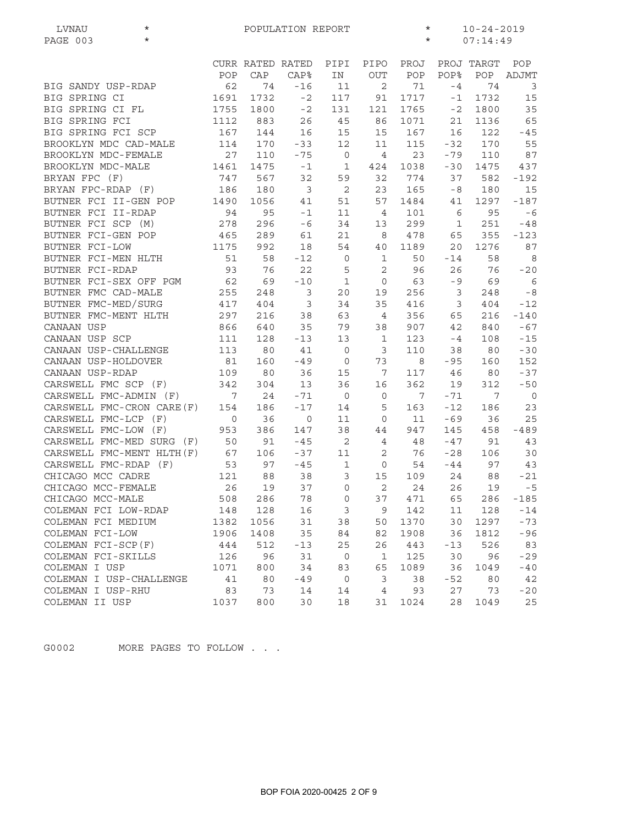| $^\star$<br>LVNAU          |                 |         | POPULATION REPORT       |                            | $\star$<br>$10 - 24 - 2019$ |         |                 |            |                 |
|----------------------------|-----------------|---------|-------------------------|----------------------------|-----------------------------|---------|-----------------|------------|-----------------|
| $\star$<br>PAGE 003        |                 |         |                         |                            |                             | $\star$ |                 | 07:14:49   |                 |
|                            |                 |         | CURR RATED RATED        | PIPI                       | PIPO                        | PROJ    |                 | PROJ TARGT | POP             |
|                            | POP             | CAP     | CAP <sup>8</sup>        | IN                         | OUT                         | POP     | POP%            | POP        | ADJMT           |
| BIG SANDY USP-RDAP         | 62              | 74      | $-16$                   | 11                         | 2                           | 71      | $-4$            | 74         | $\mathbf{3}$    |
| BIG SPRING CI              | 1691            | 1732    | $-2$                    | 117                        | 91                          | 1717    | $-1$            | 1732       | 15              |
| BIG SPRING CI FL           | 1755            | 1800    | $-2$                    | 131                        | 121                         | 1765    | $-2$            | 1800       | 35              |
| BIG SPRING FCI             | 1112            | 883     | 26                      | 45                         | 86                          | 1071    | 21              | 1136       | 65              |
| BIG SPRING FCI SCP         | 167             | 144     | 16                      | 15                         | 15                          | 167     | 16              | 122        | $-45$           |
| BROOKLYN MDC CAD-MALE      | 114             | 170     | $-33$                   | 12                         | 11                          | 115     | $-32$           | 170        | 55              |
| BROOKLYN MDC-FEMALE        | 27              | 110     | $-75$                   | $\overline{0}$             | $\overline{4}$              | 23      | $-79$           | 110        | 87              |
| BROOKLYN MDC-MALE          | 1461            | 1475    | $-1$                    | 1                          | 424                         | 1038    | $-30$           | 1475       | 437             |
| BRYAN FPC (F)              | 747             | 567     | 32                      | 59                         | 32                          | 774     | 37              | 582        | -192            |
| BRYAN FPC-RDAP (F)         | 186             | 180     | $\overline{\mathbf{3}}$ | 2                          | 23                          | 165     | $-8$            | 180        | 15              |
| BUTNER FCI II-GEN POP      | 1490            | 1056    | 41                      | 51                         | 57                          | 1484    | 41              | 1297       | $-187$          |
| BUTNER FCI II-RDAP         | 94              | 95      | $-1$                    | 11                         | $\overline{4}$              | 101     | 6               | 95         | $-6$            |
| BUTNER FCI SCP (M)         | 278             | 296     | $-6$                    | 34                         | 13                          | 299     | 1               | 251        | $-48$           |
| BUTNER FCI-GEN POP         | 465             | 289     | 61                      | 21                         | 8                           | 478     | 65              | 355        | $-123$          |
| BUTNER FCI-LOW             | 1175            | 992     | 18                      | 54                         | 40                          | 1189    | 20 <sub>o</sub> | 1276       | 87              |
| BUTNER FCI-MEN HLTH        | 51              | 58      | $-12$                   | $\mathbf 0$                | $\mathbf 1$                 | 50      | $-14$           | 58         | 8               |
| BUTNER FCI-RDAP            | 93              | 76      | 22                      | 5                          | $\mathbf{2}$                | 96      | 26              | 76         | $-20$           |
| BUTNER FCI-SEX OFF PGM     | 62              | 69      | $-10$                   | $\mathbf{1}$               | $\mathbf 0$                 | 63      | $-9$            | 69         | $6\overline{6}$ |
| BUTNER FMC CAD-MALE        | 255             | 248     | 3                       | 20                         | 19                          | 256     | $\overline{3}$  | 248        | $-8$            |
| BUTNER FMC-MED/SURG        | 417             | 404     | 3                       | 34                         | 35                          | 416     | 3               | 404        | $-12$           |
| BUTNER FMC-MENT HLTH       | 297             | 216     | 38                      | 63                         | $\overline{4}$              | 356     | 65              | 216        | $-140$          |
| CANAAN USP                 | 866             | 640     | 35                      | 79                         | 38                          | 907     | 42              | 840        | $-67$           |
| CANAAN USP SCP             | 111             | 128     | $-13$                   | 13                         | $\mathbf{1}$                | 123     | $-4$            | 108        | $-15$           |
| CANAAN USP-CHALLENGE       | 113             | 80      | 41                      | $\overline{0}$             | 3                           | 110     | 38              | 80         | $-30$           |
| CANAAN USP-HOLDOVER        | 81              | 160     | $-49$                   | $\overline{0}$             | 73                          | 8       | $-95$           | 160        | 152             |
| CANAAN USP-RDAP            | 109             | 80      | 36                      | 15                         | 7                           | 117     | 46              | 80         | $-37$           |
| CARSWELL FMC SCP (F)       | 342             | 304     | 13                      | 36                         | 16                          | 362     | 19              | 312        | $-50$           |
| CARSWELL FMC-ADMIN (F)     | $7\overline{ }$ | 24      | $-71$                   | $\overline{0}$             | $\mathbf 0$                 | 7       | $-71$           | 7          | $\overline{0}$  |
| CARSWELL FMC-CRON CARE (F) | 154             | 186     | $-17$                   | 14                         | 5                           | 163     | $-12$           | 186        | 23              |
| CARSWELL FMC-LCP (F)       | $\circ$         | 36      | $\circ$                 | 11                         | $\mathbf{0}$                | 11      | $-69$           | 36         | 25              |
| CARSWELL FMC-LOW (F)       | 953             | 386     | 147                     | 38                         | 44                          | 947     | 145             | 458        | $-489$          |
| CARSWELL FMC-MED SURG (F)  | 50              | 91      | $-45$                   | $\overline{\phantom{0}}^2$ | 4                           | 48      | $-47$           | 91         | 43              |
| CARSWELL FMC-MENT HLTH(F)  | 67              | 106     | $-37$                   | 11                         | 2                           | 76      | $-28$           | 106        | 30              |
| CARSWELL FMC-RDAP (F)      | 53              | 97      | $-45$                   | $\mathbf 1$                | $\circ$                     | 54      | $-44$           | 97         | 43              |
| CHICAGO MCC CADRE          | 121             | 88      | 38                      | 3                          | 15                          | 109     | 24              | 88         | $-21$           |
| CHICAGO MCC-FEMALE         | 26              | 19      | 37                      | $\overline{O}$             | $\overline{c}$              | 24      | 26              | 19         | $-5$            |
| CHICAGO MCC-MALE           | 508             | 286     | 78                      | 0                          | 37                          | 471     | 65              | 286        | $-185$          |
| COLEMAN FCI LOW-RDAP       |                 | 148 128 | 16                      | $\mathbf{3}$               | 9                           | 142     | 11              | 128        | $-14$           |
| COLEMAN FCI MEDIUM         | 1382            | 1056    | 31                      | 38                         | 50                          | 1370    | 30              | 1297       | $-73$           |
| COLEMAN FCI-LOW            | 1906            | 1408    | 35                      | 84                         | 82                          | 1908    | 36              | 1812       | $-96$           |
| COLEMAN FCI-SCP(F)         | 444             | 512     | $-13$                   | 25                         | 26                          | 443     | $-13$           | 526        | 83              |
| COLEMAN FCI-SKILLS         | 126             | 96      | 31                      | $\overline{0}$             | $\mathbf{1}$                | 125     | 30              | 96         | $-29$           |
| COLEMAN I USP              | 1071            | 800     | 34                      | 83                         | 65                          | 1089    | 36              | 1049       | $-40$           |
| COLEMAN I USP-CHALLENGE    | 41              | 80      | $-49$                   | $\overline{0}$             | 3                           | 38      | $-52$           | 80         | 42              |
| COLEMAN I USP-RHU          | 83              | 73      | 14                      | 14                         | $\overline{4}$              | 93      | 27              | 73         | $-20$           |
| COLEMAN II USP             | 1037            | 800     | 30                      | 18                         | 31                          | 1024    | 28              | 1049       | 25              |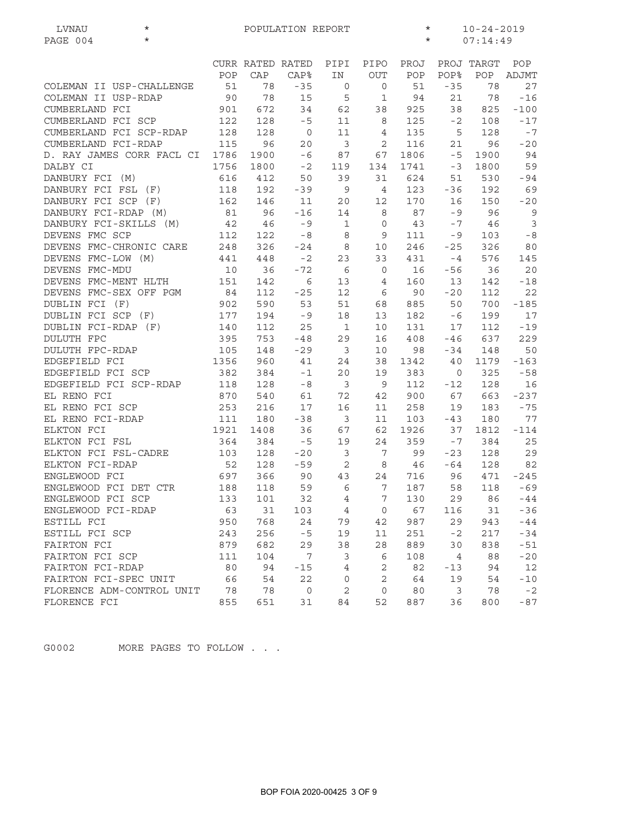| LVNAU<br>$^\star$                      | $\star$<br>$10 - 24 - 2019$<br>POPULATION REPORT |                  |                |                |                 |      |                     |            |                |  |
|----------------------------------------|--------------------------------------------------|------------------|----------------|----------------|-----------------|------|---------------------|------------|----------------|--|
| $\star$<br>PAGE 004                    |                                                  |                  |                |                |                 |      | $\star$<br>07:14:49 |            |                |  |
|                                        |                                                  |                  |                |                |                 |      |                     |            |                |  |
|                                        |                                                  | CURR RATED RATED |                | PIPI           | PIPO            | PROJ |                     | PROJ TARGT | POP            |  |
|                                        | POP                                              | CAP              | <b>CAP%</b>    | IN             | <b>OUT</b>      | POP  | <b>POP%</b>         | POP        | ADJMT          |  |
| COLEMAN II USP-CHALLENGE               | 51                                               | 78               | $-35$          | 0              | 0               | 51   | $-35$               | 78         | 27             |  |
| COLEMAN II USP-RDAP                    | 90                                               | 78               | 15             | 5              | $\mathbf{1}$    | 94   | 21                  | 78         | $-16$          |  |
| CUMBERLAND FCI                         | 901                                              | 672              | 34             | 62             | 38              | 925  | 38                  | 825        | $-100$         |  |
| CUMBERLAND FCI SCP                     | 122                                              | 128              | $-5$           | 11             | 8               | 125  | $-2$                | 108        | $-17$          |  |
| CUMBERLAND FCI SCP-RDAP                | 128                                              | 128              | $\overline{0}$ | 11             | 4               | 135  | 5                   | 128        | $-7$           |  |
| CUMBERLAND FCI-RDAP                    | 115                                              | 96               | 20             | $\overline{3}$ | 2               | 116  | 21                  | 96         | $-20$          |  |
| D. RAY JAMES CORR FACL CI              | 1786                                             | 1900             | $-6$           | 87             | 67              | 1806 | $-5$                | 1900       | 94             |  |
| DALBY CI                               | 1756                                             | 1800             | $-2$           | 119            | 134             | 1741 | $-3$                | 1800       | 59             |  |
| DANBURY FCI (M)                        | 616                                              | 412              | 50             | 39             | 31              | 624  | 51                  | 530        | $-94$          |  |
| DANBURY FCI FSL<br>(F)                 | 118                                              | 192              | $-39$          | 9              | $\overline{4}$  | 123  | $-36$               | 192        | 69             |  |
| DANBURY FCI SCP (F)                    | 162                                              | 146              | 11             | 20             | 12              | 170  | 16                  | 150        | $-20$          |  |
| DANBURY FCI-RDAP (M)                   | 81                                               | 96               | $-16$          | 14             | 8               | 87   | $-9$                | 96         | $\overline{9}$ |  |
| DANBURY FCI-SKILLS (M)                 | 42                                               | 46               | $-9$           | 1              | 0               | 43   | $-7$                | 46         | $\mathfrak{Z}$ |  |
| DEVENS FMC SCP                         | 112                                              | 122              | $-8$           | 8              | 9               | 111  | -9                  | 103        | $\sim 8$       |  |
| DEVENS FMC-CHRONIC CARE                | 248                                              | 326              | $-24$          | 8              | 10              | 246  | $-25$               | 326        | 80             |  |
| DEVENS FMC-LOW (M)                     | 441                                              | 448              | $-2$           | 23             | 33              | 431  | $-4$                | 576        | 145            |  |
| DEVENS FMC-MDU                         | 10                                               | 36               | $-72$          | 6              | $\circ$         | 16   | $-56$               | 36         | 20             |  |
| DEVENS FMC-MENT HLTH                   | 151                                              | 142              | 6              | 13             | 4               | 160  | 13                  | 142        | $-18$          |  |
| DEVENS FMC-SEX OFF PGM                 | 84                                               | 112              | $-25$          | 12             | 6               | 90   | $-20$               | 112        | 22             |  |
| DUBLIN FCI (F)                         | 902                                              | 590              | 53             | 51             | 68              | 885  | 50                  | 700        | $-185$         |  |
| DUBLIN FCI SCP (F)                     | 177                                              | 194              | $-9$           | 18             | 13              | 182  | -6                  | 199        | 17             |  |
| DUBLIN FCI-RDAP (F)                    | 140                                              | 112              | 25             | $\mathbf{1}$   | 10              | 131  | 17                  | 112        | $-19$          |  |
| <b>DULUTH FPC</b>                      | 395                                              | 753              | $-48$          | 29             | 16              | 408  | $-46$               | 637        | 229            |  |
| DULUTH FPC-RDAP                        | 105                                              | 148              | $-29$          | $\mathbf{3}$   | 10              | 98   | -34                 | 148        | 50             |  |
| EDGEFIELD FCI                          | 1356                                             | 960              | 41             | 24             | 38              | 1342 | 40                  | 1179       | $-163$         |  |
| EDGEFIELD FCI SCP                      | 382                                              | 384              | $-1$           | 20             | 19              | 383  | 0                   | 325        | $-58$          |  |
| EDGEFIELD FCI SCP-RDAP                 | 118                                              | 128              | $-8$           | 3              | $\mathsf 9$     | 112  | $-12$               | 128        | 16             |  |
| EL RENO FCI                            | 870                                              |                  |                |                |                 |      |                     | 663        |                |  |
|                                        |                                                  | 540              | 61             | 72             | 42              | 900  | 67                  |            | -237           |  |
| EL RENO FCI SCP                        | 253                                              | 216              | 17             | 16             | 11              | 258  | 19                  | 183        | $-75$          |  |
| EL RENO FCI-RDAP                       | 111                                              | 180              | $-38$          | $\overline{3}$ | 11              | 103  | $-43$               | 180        | 77             |  |
| ELKTON FCI                             | 1921                                             | 1408             | 36             | 67             | 62              | 1926 | 37                  | 1812       | $-114$         |  |
| ELKTON FCI FSL<br>ELKTON FCI FSL-CADRE | 364                                              | 384              | $-5$           | 19             | 24              | 359  | $-7$                | 384        | 25             |  |
| ELKTON FCI-RDAP                        | 103                                              | 128              | $-20$          | 3              | 7               | 99   | $-23$               | 128        | 29             |  |
|                                        | 52                                               | 128              | $-59$          | 2              | 8               | 46   | -64                 | 128        | 82             |  |
| ENGLEWOOD FCI                          | 697                                              | 366              | 90             | 43             | 24              | 716  | 96                  | 471        | $-245$         |  |
| ENGLEWOOD FCI DET CTR                  | 188                                              | 118              | 59             | - 6            | $7\overline{ }$ | 187  | 58                  | 118        | $-69$          |  |
| ENGLEWOOD FCI SCP                      | 133                                              | 101              | 32             | 4              | 7               | 130  | 29                  | 86         | $-44$          |  |
| ENGLEWOOD FCI-RDAP                     | 63                                               | 31               | 103            | $\overline{4}$ | $\mathbf 0$     | 67   | 116                 | 31         | $-36$          |  |
| ESTILL FCI                             | 950                                              | 768              | 24             | 79             | 42              | 987  | 29                  | 943        | $-44$          |  |
| ESTILL FCI SCP                         | 243                                              | 256              | $-5$           | 19             | 11              | 251  | $-2$                | 217        | $-34$          |  |
| FAIRTON FCI                            | 879                                              | 682              | 29             | 38             | 28              | 889  | 30                  | 838        | $-51$          |  |
| FAIRTON FCI SCP                        | 111                                              | 104              | 7              | 3              | $\epsilon$      | 108  | 4                   | 88         | $-20$          |  |
| FAIRTON FCI-RDAP                       | 80                                               | 94               | $-15$          | $\overline{4}$ | 2               | 82   | $-13$               | 94         | $12$           |  |
| FAIRTON FCI-SPEC UNIT                  | 66                                               | 54               | 22             | $\circ$        | 2               | 64   | 19                  | 54         | $-10$          |  |
| FLORENCE ADM-CONTROL UNIT              | 78                                               | 78               | $\mathsf{O}$   | 2              | $\mathbf 0$     | 80   | 3                   | 78         | $-2$           |  |
| FLORENCE FCI                           | 855                                              | 651              | 31             | 84             | 52              | 887  | 36                  | 800        | $-87$          |  |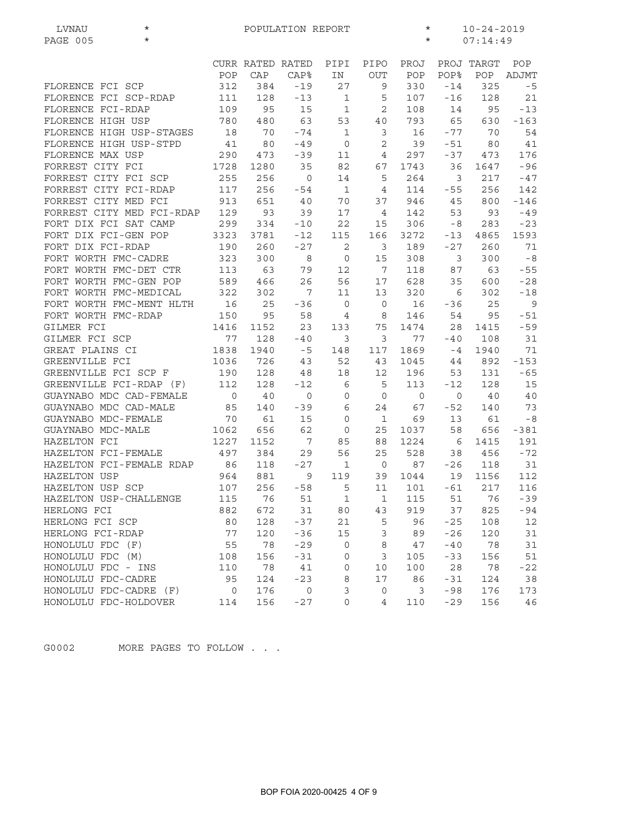| LVNAU<br>$\star$<br>$\star$<br>PAGE 005 |                |                  | POPULATION REPORT |              |                | $\star$<br>$\star$ | $10 - 24 - 2019$<br>07:14:49 |            |        |  |
|-----------------------------------------|----------------|------------------|-------------------|--------------|----------------|--------------------|------------------------------|------------|--------|--|
|                                         |                |                  |                   |              |                |                    |                              |            |        |  |
|                                         |                | CURR RATED RATED |                   | PIPI         | PIPO           | PROJ               |                              | PROJ TARGT | POP    |  |
|                                         | POP            | CAP              | <b>CAP%</b>       | IN           | <b>OUT</b>     | POP                | POP%                         | POP        | ADJMT  |  |
| FLORENCE FCI SCP                        | 312            | 384              | $-19$             | 27           | 9              | 330                | $-14$                        | 325        | $-5$   |  |
| FLORENCE FCI SCP-RDAP                   | 111            | 128              | $-13$             | 1            | 5              | 107                | $-16$                        | 128        | 21     |  |
| FLORENCE FCI-RDAP                       | 109            | 95               | 15                | $\mathbf{1}$ | 2              | 108                | 14                           | 95         | $-13$  |  |
| FLORENCE HIGH USP                       | 780            | 480              | 63                | 53           | 40             | 793                | 65                           | 630        | $-163$ |  |
| FLORENCE HIGH USP-STAGES                | 18             | 70               | $-74$             | $\mathbf 1$  | 3              | 16                 | $-77$                        | 70         | 54     |  |
| FLORENCE HIGH USP-STPD                  | 41             | 80               | $-49$             | $\mathbf 0$  | 2              | 39                 | $-51$                        | 80         | 41     |  |
| FLORENCE MAX USP                        | 290            | 473              | $-39$             | 11           | 4              | 297                | $-37$                        | 473        | 176    |  |
| FORREST CITY FCI                        | 1728           | 1280             | 35                | 82           | 67             | 1743               | 36                           | 1647       | $-96$  |  |
| FORREST CITY FCI SCP                    | 255            | 256              | $\mathsf{O}$      | 14           | 5              | 264                | 3                            | 217        | -47    |  |
| FORREST CITY FCI-RDAP                   | 117            | 256              | $-54$             | $\mathbf{1}$ | 4              | 114                | $-55$                        | 256        | 142    |  |
| FORREST CITY MED FCI                    | 913            | 651              | 40                | 70           | 37             | 946                | 45                           | 800        | $-146$ |  |
| FORREST CITY MED FCI-RDAP 129           |                | 93               | 39                | 17           | $\overline{4}$ | 142                | 53                           | 93         | $-49$  |  |
| FORT DIX FCI SAT CAMP                   | 299            | 334              | $-10$             | 22           | 15             | 306                | - 8                          | 283        | $-23$  |  |
| FORT DIX FCI-GEN POP                    | 3323           | 3781             | $-12$             | 115          | 166            | 3272               | $-13$                        | 4865       | 1593   |  |
| FORT DIX FCI-RDAP                       | 190            | 260              | $-27$             | 2            | 3              | 189                | $-27$                        | 260        | 71     |  |
| FORT WORTH FMC-CADRE                    | 323            | 300              | 8                 | $\mathsf{O}$ | 15             | 308                | 3                            | 300        | $-8$   |  |
| FORT WORTH FMC-DET CTR                  | 113            | 63               | 79                | 12           | 7              | 118                | 87                           | 63         | $-55$  |  |
| FORT WORTH FMC-GEN POP                  | 589            | 466              | 26                | 56           | 17             | 628                | 35                           | 600        | $-28$  |  |
| FORT WORTH FMC-MEDICAL                  | 322            | 302              | 7                 | 11           | 13             | 320                | 6                            | 302        | $-18$  |  |
| FORT WORTH FMC-MENT HLTH                | 16             | 25               | $-36$             | $\mathbf 0$  | $\mathbf 0$    | 16                 | -36                          | 25         | 9      |  |
| FORT WORTH FMC-RDAP                     | 150            | 95               | 58                | 4            | 8              | 146                | 54                           | 95         | $-51$  |  |
| GILMER FCI                              | 1416           | 1152             | 23                | 133          | 75             | 1474               | 28                           | 1415       | $-59$  |  |
| GILMER FCI SCP                          | 77             | 128              | $-40$             | 3            | 3              | 77                 | -40                          | 108        | 31     |  |
| GREAT PLAINS CI                         | 1838           | 1940             | $-5$              | 148          | 117            | 1869               | $-4$                         | 1940       | 71     |  |
| GREENVILLE FCI                          | 1036           | 726              | 43                | 52           | 43             | 1045               | 44                           | 892        | $-153$ |  |
| GREENVILLE FCI SCP F                    | 190            | 128              | 48                | 18           | 12             | 196                | 53                           | 131        | $-65$  |  |
| GREENVILLE FCI-RDAP (F)                 | 112            | 128              | $-12$             | 6            | 5              | 113                | $-12$                        | 128        | 15     |  |
| GUAYNABO MDC CAD-FEMALE                 | $\overline{0}$ | 40               | 0                 | 0            | $\mathsf{O}$   | $\overline{O}$     | $\circ$                      | 40         | 40     |  |
| GUAYNABO MDC CAD-MALE                   | 85             | 140              | $-39$             | 6            | 24             | 67                 | -52                          | 140        | 73     |  |
| GUAYNABO MDC-FEMALE                     | 70             | 61               | 15                | 0            | $\mathbf{1}$   | 69                 | 13                           | 61         | $-8$   |  |
| GUAYNABO MDC-MALE                       | 1062           | 656              | 62                | 0            | 25             | 1037               | 58                           | 656        | $-381$ |  |
| HAZELTON FCI                            | 1227           | 1152             | 7                 | 85           | 88             | 1224               | 6                            | 1415       | 191    |  |
| HAZELTON FCI-FEMALE                     | 497            | 384              | 29                | 56           | 25             | 528                | 38                           | 456        | $-72$  |  |
| HAZELTON FCI-FEMALE RDAP                | 86             | 118              | $-27$             | $\mathbf 1$  | $\overline{0}$ | 87                 | $-26$                        | 118        | 31     |  |
| HAZELTON USP                            | 964            | 881              | 9                 | 119          | 39             | 1044               | 19                           | 1156       | 112    |  |
| HAZELTON USP SCP                        | 107            | 256              | $-58$             | 5            |                | 11 101 -61         |                              | 217        | 116    |  |
| HAZELTON USP-CHALLENGE                  | 115            | 76               | 51                | 1            | 1              | 115                | 51                           | 76         | $-39$  |  |
| HERLONG FCI                             | 882            | 672              | 31                | 80           | 43             | 919                | 37                           | 825        | -94    |  |
| HERLONG FCI SCP                         | 80             | 128              | $-37$             | 21           | 5              | 96                 | $-25$                        | 108        | 12     |  |
| HERLONG FCI-RDAP                        | 77             | 120              | $-36$             | 15           | 3              | 89                 | $-26$                        | 120        | 31     |  |
| HONOLULU FDC (F)                        | 55             | 78               | $-29$             | 0            | 8              | 47                 | $-40$                        | 78         | 31     |  |
| HONOLULU FDC (M)                        | 108            | 156              | $-31$             | 0            | 3              | 105                | $-33$                        | 156        | 51     |  |
| HONOLULU FDC - INS                      | 110            | 78               | 41                | 0            | 10             | 100                | 28                           | 78         | $-22$  |  |
| HONOLULU FDC-CADRE                      | 95             | 124              | $-23$             | 8            | 17             | 86                 | $-31$                        | 124        | 38     |  |
| HONOLULU FDC-CADRE (F)                  | $\circ$        | 176              | $\circ$           | 3            | 0              | 3                  | $-98$                        | 176        | 173    |  |
| HONOLULU FDC-HOLDOVER                   | 114            | 156              | $-27$             | 0            | 4              | 110                | $-29$                        | 156        | 46     |  |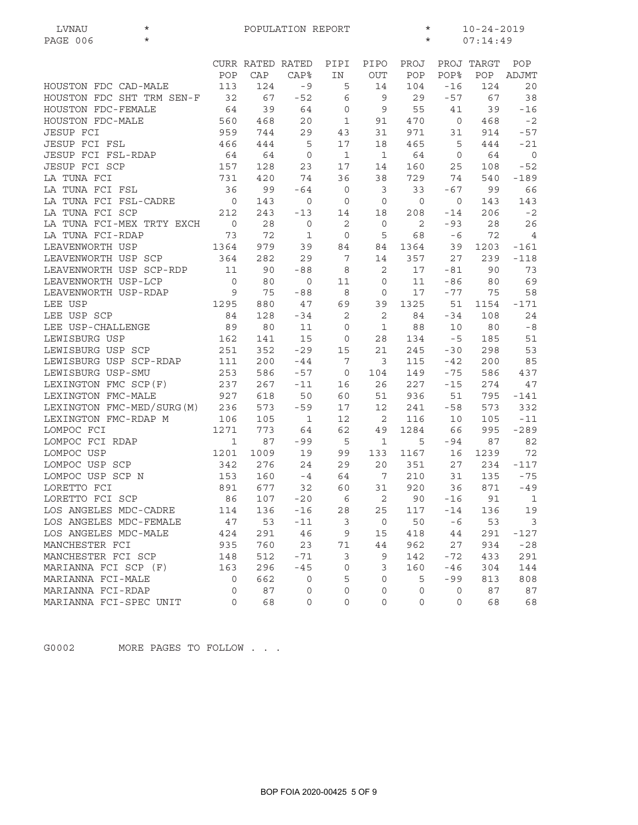| $\star$<br>PAGE 006<br>$\star$<br>07:14:49<br>PIPO<br>PROJ<br>PROJ TARGT<br>POP<br>CURR RATED RATED<br>PIPI<br>POP<br>CAP<br><b>CAP%</b><br><b>OUT</b><br>POP<br>POP%<br>POP<br>ADJMT<br>IN<br>113<br>HOUSTON FDC CAD-MALE<br>124<br>$-9$<br>14<br>104<br>$-16$<br>124<br>5 |                         |
|-----------------------------------------------------------------------------------------------------------------------------------------------------------------------------------------------------------------------------------------------------------------------------|-------------------------|
|                                                                                                                                                                                                                                                                             |                         |
|                                                                                                                                                                                                                                                                             |                         |
|                                                                                                                                                                                                                                                                             |                         |
|                                                                                                                                                                                                                                                                             | 20                      |
| HOUSTON FDC SHT TRM SEN-F<br>32<br>67<br>6<br>67<br>$-52$<br>9<br>29<br>$-57$                                                                                                                                                                                               | 38                      |
| HOUSTON FDC-FEMALE<br>64<br>39<br>64<br>$\circ$<br>9<br>55<br>41<br>39                                                                                                                                                                                                      | $-16$                   |
| HOUSTON FDC-MALE<br>$\mathbf 1$<br>560<br>468<br>20<br>470<br>$\circ$<br>468<br>91                                                                                                                                                                                          | $-2$                    |
| <b>JESUP FCI</b><br>959<br>744<br>971<br>914<br>29<br>43<br>31<br>31                                                                                                                                                                                                        | $-57$                   |
| <b>JESUP FCI FSL</b><br>5<br>17<br>466<br>444<br>18<br>465<br>5<br>444                                                                                                                                                                                                      | $-21$                   |
| JESUP FCI FSL-RDAP<br>64<br>$\mathbf{1}$<br>$\mathbf{1}$<br>64<br>64<br>64<br>0<br>$\circ$                                                                                                                                                                                  | $\overline{0}$          |
| JESUP FCI SCP<br>157<br>128<br>17<br>160<br>23<br>14<br>25<br>108                                                                                                                                                                                                           | $-52$                   |
| LA TUNA FCI<br>731<br>420<br>74<br>36<br>38<br>729<br>74<br>540                                                                                                                                                                                                             | $-189$                  |
| LA TUNA FCI FSL<br>36<br>99<br>$-64$<br>$\mathbf 0$<br>3<br>33<br>$-67$<br>99                                                                                                                                                                                               | 66                      |
| LA TUNA FCI FSL-CADRE<br>$\overline{0}$<br>$\mathbf{0}$<br>143<br>143<br>0<br>0<br>0<br>$\circ$                                                                                                                                                                             | 143                     |
| LA TUNA FCI SCP<br>212<br>243<br>206<br>$-13$<br>14<br>18<br>208<br>$-14$                                                                                                                                                                                                   | $-2$                    |
| LA TUNA FCI-MEX TRTY EXCH<br>$\overline{0}$<br>28<br>$\mathbf{2}$<br>$-93$<br>28<br>0<br>$\mathbf 0$<br>2                                                                                                                                                                   | 26                      |
| 72<br>LA TUNA FCI-RDAP<br>73<br>68<br>$-6$<br>72<br>1<br>$\mathbf 0$<br>5                                                                                                                                                                                                   | $\overline{4}$          |
| LEAVENWORTH USP<br>1364<br>979<br>1364<br>39<br>1203<br>39<br>84<br>84                                                                                                                                                                                                      | $-161$                  |
| LEAVENWORTH USP SCP<br>364<br>282<br>29<br>7<br>357<br>27<br>239<br>14                                                                                                                                                                                                      | $-118$                  |
| 11<br>LEAVENWORTH USP SCP-RDP<br>90<br>$-88$<br>2<br>90<br>8<br>17<br>-81                                                                                                                                                                                                   | 73                      |
| LEAVENWORTH USP-LCP<br>$\overline{0}$<br>80<br>80<br>0<br>11<br>$\mathbf 0$<br>11<br>-86                                                                                                                                                                                    | 69                      |
| LEAVENWORTH USP-RDAP<br>9<br>75<br>$-88$<br>8<br>17<br>$-77$<br>$\mathbf 0$<br>75                                                                                                                                                                                           | 58                      |
| 1325<br>LEE USP<br>1295<br>880<br>47<br>69<br>39<br>51<br>1154                                                                                                                                                                                                              | $-171$                  |
| 2<br>2<br>LEE USP SCP<br>84<br>128<br>$-34$<br>84<br>$-34$<br>108                                                                                                                                                                                                           | 24                      |
| LEE USP-CHALLENGE<br>89<br>80<br>11<br>$\mathbf 0$<br>$\mathbf 1$<br>88<br>80<br>10                                                                                                                                                                                         | $-8$                    |
| LEWISBURG USP<br>162<br>141<br>15<br>28<br>134<br>$-5$<br>185<br>0                                                                                                                                                                                                          | 51                      |
| LEWISBURG USP SCP<br>251<br>352<br>$-29$<br>15<br>21<br>245<br>$-30$<br>298                                                                                                                                                                                                 | 53                      |
| LEWISBURG USP SCP-RDAP<br>111<br>200<br>$-44$<br>7<br>3<br>115<br>200<br>-42                                                                                                                                                                                                | 85                      |
| LEWISBURG USP-SMU<br>586<br>253<br>586<br>$-57$<br>104<br>149<br>$-75$<br>0                                                                                                                                                                                                 | 437                     |
| LEXINGTON FMC SCP(F)<br>237<br>267<br>$-11$<br>16<br>26<br>227<br>$-15$<br>274                                                                                                                                                                                              | 47                      |
| LEXINGTON FMC-MALE<br>927<br>618<br>50<br>60<br>51<br>936<br>51<br>795                                                                                                                                                                                                      | -141                    |
| LEXINGTON FMC-MED/SURG(M)<br>236<br>573<br>$-59$<br>17<br>12<br>573<br>241<br>-58                                                                                                                                                                                           | 332                     |
| LEXINGTON FMC-RDAP M<br>106<br>12<br>2<br>105<br>$\mathbf 1$<br>116<br>10<br>105                                                                                                                                                                                            | $-11$                   |
| LOMPOC FCI<br>1271<br>773<br>64<br>62<br>1284<br>66<br>995<br>49                                                                                                                                                                                                            | $-289$                  |
| LOMPOC FCI RDAP<br>87<br>$\mathbf 1$<br>$-99$<br>5<br>87<br>1<br>5<br>-94                                                                                                                                                                                                   | 82                      |
| LOMPOC USP<br>1201<br>19<br>99<br>1167<br>1239<br>1009<br>133<br>16                                                                                                                                                                                                         | 72                      |
| LOMPOC USP SCP<br>342<br>276<br>24<br>29<br>20<br>351<br>27<br>234                                                                                                                                                                                                          | $-117$                  |
| LOMPOC USP SCP N<br>7<br>153<br>160<br>64<br>210<br>31<br>135<br>$-4$                                                                                                                                                                                                       | $-75$                   |
| LORETTO FCI<br>891 677<br>32<br>31<br>920<br>36 871<br>60                                                                                                                                                                                                                   | $-49$                   |
| LORETTO FCI SCP<br>107<br>$-20$<br>2<br>90<br>86<br>6<br>$-16$<br>91                                                                                                                                                                                                        | $\mathbf{1}$            |
| LOS ANGELES MDC-CADRE<br>136<br>$-16$<br>114<br>28<br>25<br>117<br>$-14$<br>136                                                                                                                                                                                             | 19                      |
| LOS ANGELES MDC-FEMALE<br>47<br>53<br>$-11$<br>3<br>$\overline{0}$<br>50<br>53<br>-6                                                                                                                                                                                        | $\overline{\mathbf{3}}$ |
| LOS ANGELES MDC-MALE<br>424<br>291<br>46<br>9<br>15<br>418<br>291<br>44                                                                                                                                                                                                     | -127                    |
| MANCHESTER FCI<br>760<br>23<br>962<br>27<br>935<br>71<br>44<br>934                                                                                                                                                                                                          | $-28$                   |
| MANCHESTER FCI SCP<br>3<br>$-72$<br>148<br>512<br>$-71$<br>9<br>142<br>433                                                                                                                                                                                                  | 291                     |
| MARIANNA FCI SCP (F)<br>296<br>$\mathbf 0$<br>3<br>163<br>$-45$<br>160<br>$-46$<br>304                                                                                                                                                                                      | 144                     |
| MARIANNA FCI-MALE<br>662<br>5<br>0<br>0<br>5<br>-99<br>813<br>0                                                                                                                                                                                                             | 808                     |
| MARIANNA FCI-RDAP<br>87<br>$\mathsf{O}\xspace$<br>87<br>0<br>0<br>0<br>$\circ$<br>0                                                                                                                                                                                         | 87                      |
| MARIANNA FCI-SPEC UNIT<br>68<br>$\mathbf 0$<br>0<br>0<br>0<br>0<br>0<br>68                                                                                                                                                                                                  | 68                      |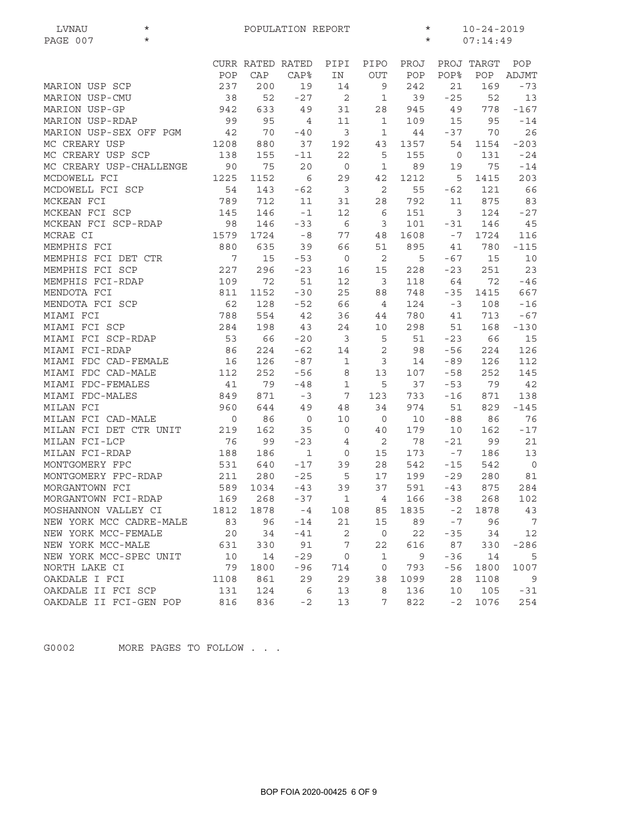| PAGE 007<br>$\star$<br>$\star$<br>07:14:49<br>CURR RATED RATED<br>PIPI<br>PIPO<br>PROJ<br>PROJ TARGT<br>POP<br>POP<br><b>POP%</b><br>POP<br>CAP<br><b>CAP%</b><br>IN<br><b>OUT</b><br>POP<br>ADJMT<br>237<br>242<br>200<br>19<br>21<br>169<br>$-73$<br>MARION USP SCP<br>14<br>9<br>52<br>$-27$<br>52<br>MARION USP-CMU<br>38<br>2<br>$\mathbf{1}$<br>39<br>$-25$<br>13<br>MARION USP-GP<br>942<br>633<br>49<br>31<br>28<br>945<br>49<br>778<br>$-167$<br>99<br>MARION USP-RDAP<br>95<br>11<br>109<br>95<br>$-14$<br>4<br>1<br>15<br>3<br>26<br>MARION USP-SEX OFF PGM<br>42<br>70<br>$-37$<br>70<br>$-40$<br>1<br>44<br>MC CREARY USP<br>1208<br>880<br>37<br>1357<br>$-203$<br>192<br>43<br>54<br>1154<br>MC CREARY USP SCP<br>138<br>155<br>22<br>5<br>155<br>131<br>$-24$<br>$-11$<br>$\circ$<br>MC CREARY USP-CHALLENGE<br>90<br>75<br>20<br>$\mathbf 0$<br>89<br>75<br>1<br>19<br>$-14$<br>MCDOWELL FCI<br>1225<br>1212<br>1152<br>6<br>29<br>42<br>5<br>1415<br>203<br>2<br>MCDOWELL FCI SCP<br>54<br>143<br>$-62$<br>$\mathbf{3}$<br>55<br>$-62$<br>121<br>66<br>789<br>792<br>MCKEAN FCI<br>712<br>11<br>31<br>28<br>11<br>875<br>83<br>MCKEAN FCI SCP<br>124<br>145<br>146<br>12<br>151<br>$\mathcal{E}$<br>$-27$<br>$-1$<br>6<br>MCKEAN FCI SCP-RDAP<br>146<br>6<br>101<br>146<br>45<br>98<br>$-33$<br>3<br>-31<br>MCRAE CI<br>1579<br>1724<br>$-8$<br>77<br>48<br>1608<br>1724<br>116<br>$-7$<br>MEMPHIS FCI<br>880<br>635<br>39<br>66<br>51<br>895<br>41<br>780<br>$-115$<br>$\overline{7}$<br>MEMPHIS FCI DET CTR<br>15<br>$\overline{c}$<br>5<br>$-67$<br>10<br>$-53$<br>$\overline{0}$<br>15<br>MEMPHIS FCI SCP<br>23<br>227<br>296<br>$-23$<br>15<br>228<br>$-23$<br>251<br>16<br>MEMPHIS FCI-RDAP<br>109<br>72<br>51<br>12<br>$\mathbf{3}$<br>64<br>72<br>$-46$<br>118<br>MENDOTA FCI<br>811<br>25<br>88<br>748<br>667<br>1152<br>$-30$<br>-35<br>1415<br>MENDOTA FCI SCP<br>62<br>128<br>$-52$<br>66<br>$\overline{4}$<br>124<br>108<br>$-16$<br>$-3$<br>MIAMI FCI<br>42<br>788<br>554<br>36<br>780<br>713<br>$-67$<br>44<br>41<br>MIAMI FCI SCP<br>284<br>198<br>24<br>168<br>$-130$<br>43<br>10<br>298<br>51<br>MIAMI FCI SCP-RDAP<br>53<br>66<br>$-20$<br>$\overline{3}$<br>5<br>$-23$<br>66<br>15<br>51<br>MIAMI FCI-RDAP<br>86<br>224<br>$-62$<br>2<br>$-56$<br>224<br>126<br>14<br>98<br>MIAMI FDC CAD-FEMALE<br>126<br>$-87$<br>126<br>112<br>16<br>1<br>3<br>14<br>-89<br>MIAMI FDC CAD-MALE<br>112<br>252<br>$-56$<br>8<br>13<br>107<br>$-58$<br>252<br>145<br>MIAMI FDC-FEMALES<br>41<br>79<br>$-48$<br>$\mathbf 1$<br>5<br>37<br>$-53$<br>79<br>42<br>MIAMI FDC-MALES<br>849<br>871<br>7<br>733<br>138<br>$-3$<br>123<br>$-16$<br>871<br>MILAN FCI<br>960<br>644<br>49<br>34<br>974<br>829<br>$-145$<br>48<br>51<br>MILAN FCI CAD-MALE<br>10<br>86<br>76<br>$\circ$<br>86<br>0<br>0<br>10<br>$-88$<br>MILAN FCI DET CTR UNIT<br>162<br>$-17$<br>219<br>35<br>$\mathbf 0$<br>40<br>179<br>10<br>162<br>MILAN FCI-LCP<br>76<br>99<br>$-23$<br>2<br>78<br>$-21$<br>99<br>21<br>4<br>MILAN FCI-RDAP<br>188<br>186<br>$\mathbf{1}$<br>$\mathsf{O}$<br>15<br>173<br>$-7$<br>186<br>13<br>MONTGOMERY FPC<br>$-17$<br>28<br>542<br>542<br>$\overline{0}$<br>531<br>640<br>39<br>$-15$<br>MONTGOMERY FPC-RDAP<br>$-25$<br>5<br>211<br>280<br>17<br>199<br>$-29$<br>280<br>81<br>589 1034<br>MORGANTOWN FCI<br>39<br>37<br>591<br>875<br>284<br>$-43$<br>$-43$<br>169<br>268<br>$-37$<br>$\mathbf{1}$<br>166<br>$-38$<br>268<br>MORGANTOWN FCI-RDAP<br>4<br>102<br>MOSHANNON VALLEY CI<br>1812<br>1878<br>$-4$<br>1835<br>$-2$<br>1878<br>43<br>108<br>85<br>$-7$<br>96<br>NEW YORK MCC CADRE-MALE<br>83<br>96<br>$-14$<br>21<br>15<br>89<br>$\overline{7}$<br>NEW YORK MCC-FEMALE<br>2<br>$\mathbf 0$<br>12<br>20<br>34<br>$-41$<br>22<br>$-35$<br>34<br>7<br>NEW YORK MCC-MALE<br>91<br>22<br>616<br>87<br>$-286$<br>631<br>330<br>330<br>NEW YORK MCC-SPEC UNIT<br>10<br>$-29$<br>$-36$<br>14<br>0<br>1<br>9<br>14<br>5<br>NORTH LAKE CI<br>79<br>1800<br>$-96$<br>714<br>793<br>-56<br>1007<br>0<br>1800<br>OAKDALE I FCI<br>1108<br>861<br>29<br>29<br>1099<br>38<br>28<br>1108<br>9<br>OAKDALE II FCI SCP<br>131<br>124<br>6<br>13<br>136<br>8<br>10<br>105<br>$-31$ | LVNAU<br>$^\star$      | POPULATION REPORT<br>$\star$ |     |      |    |   |     |      | $10 - 24 - 2019$ |     |  |
|------------------------------------------------------------------------------------------------------------------------------------------------------------------------------------------------------------------------------------------------------------------------------------------------------------------------------------------------------------------------------------------------------------------------------------------------------------------------------------------------------------------------------------------------------------------------------------------------------------------------------------------------------------------------------------------------------------------------------------------------------------------------------------------------------------------------------------------------------------------------------------------------------------------------------------------------------------------------------------------------------------------------------------------------------------------------------------------------------------------------------------------------------------------------------------------------------------------------------------------------------------------------------------------------------------------------------------------------------------------------------------------------------------------------------------------------------------------------------------------------------------------------------------------------------------------------------------------------------------------------------------------------------------------------------------------------------------------------------------------------------------------------------------------------------------------------------------------------------------------------------------------------------------------------------------------------------------------------------------------------------------------------------------------------------------------------------------------------------------------------------------------------------------------------------------------------------------------------------------------------------------------------------------------------------------------------------------------------------------------------------------------------------------------------------------------------------------------------------------------------------------------------------------------------------------------------------------------------------------------------------------------------------------------------------------------------------------------------------------------------------------------------------------------------------------------------------------------------------------------------------------------------------------------------------------------------------------------------------------------------------------------------------------------------------------------------------------------------------------------------------------------------------------------------------------------------------------------------------------------------------------------------------------------------------------------------------------------------------------------------------------------------------------------------------------------------------------------------------------------------------------------------------------------------------------------------------------------------------------------------------------------------------------------------------------------------------------------------------------------------------------------------------------------------------------------------------------------------------------------------------------------------------------------------------------------------------------------------------------------------------------------------------------------------------------------------------------------------------------------------------------------------------------------------------------------------|------------------------|------------------------------|-----|------|----|---|-----|------|------------------|-----|--|
|                                                                                                                                                                                                                                                                                                                                                                                                                                                                                                                                                                                                                                                                                                                                                                                                                                                                                                                                                                                                                                                                                                                                                                                                                                                                                                                                                                                                                                                                                                                                                                                                                                                                                                                                                                                                                                                                                                                                                                                                                                                                                                                                                                                                                                                                                                                                                                                                                                                                                                                                                                                                                                                                                                                                                                                                                                                                                                                                                                                                                                                                                                                                                                                                                                                                                                                                                                                                                                                                                                                                                                                                                                                                                                                                                                                                                                                                                                                                                                                                                                                                                                                                                                                                |                        |                              |     |      |    |   |     |      |                  |     |  |
|                                                                                                                                                                                                                                                                                                                                                                                                                                                                                                                                                                                                                                                                                                                                                                                                                                                                                                                                                                                                                                                                                                                                                                                                                                                                                                                                                                                                                                                                                                                                                                                                                                                                                                                                                                                                                                                                                                                                                                                                                                                                                                                                                                                                                                                                                                                                                                                                                                                                                                                                                                                                                                                                                                                                                                                                                                                                                                                                                                                                                                                                                                                                                                                                                                                                                                                                                                                                                                                                                                                                                                                                                                                                                                                                                                                                                                                                                                                                                                                                                                                                                                                                                                                                |                        |                              |     |      |    |   |     |      |                  |     |  |
|                                                                                                                                                                                                                                                                                                                                                                                                                                                                                                                                                                                                                                                                                                                                                                                                                                                                                                                                                                                                                                                                                                                                                                                                                                                                                                                                                                                                                                                                                                                                                                                                                                                                                                                                                                                                                                                                                                                                                                                                                                                                                                                                                                                                                                                                                                                                                                                                                                                                                                                                                                                                                                                                                                                                                                                                                                                                                                                                                                                                                                                                                                                                                                                                                                                                                                                                                                                                                                                                                                                                                                                                                                                                                                                                                                                                                                                                                                                                                                                                                                                                                                                                                                                                |                        |                              |     |      |    |   |     |      |                  |     |  |
|                                                                                                                                                                                                                                                                                                                                                                                                                                                                                                                                                                                                                                                                                                                                                                                                                                                                                                                                                                                                                                                                                                                                                                                                                                                                                                                                                                                                                                                                                                                                                                                                                                                                                                                                                                                                                                                                                                                                                                                                                                                                                                                                                                                                                                                                                                                                                                                                                                                                                                                                                                                                                                                                                                                                                                                                                                                                                                                                                                                                                                                                                                                                                                                                                                                                                                                                                                                                                                                                                                                                                                                                                                                                                                                                                                                                                                                                                                                                                                                                                                                                                                                                                                                                |                        |                              |     |      |    |   |     |      |                  |     |  |
|                                                                                                                                                                                                                                                                                                                                                                                                                                                                                                                                                                                                                                                                                                                                                                                                                                                                                                                                                                                                                                                                                                                                                                                                                                                                                                                                                                                                                                                                                                                                                                                                                                                                                                                                                                                                                                                                                                                                                                                                                                                                                                                                                                                                                                                                                                                                                                                                                                                                                                                                                                                                                                                                                                                                                                                                                                                                                                                                                                                                                                                                                                                                                                                                                                                                                                                                                                                                                                                                                                                                                                                                                                                                                                                                                                                                                                                                                                                                                                                                                                                                                                                                                                                                |                        |                              |     |      |    |   |     |      |                  |     |  |
|                                                                                                                                                                                                                                                                                                                                                                                                                                                                                                                                                                                                                                                                                                                                                                                                                                                                                                                                                                                                                                                                                                                                                                                                                                                                                                                                                                                                                                                                                                                                                                                                                                                                                                                                                                                                                                                                                                                                                                                                                                                                                                                                                                                                                                                                                                                                                                                                                                                                                                                                                                                                                                                                                                                                                                                                                                                                                                                                                                                                                                                                                                                                                                                                                                                                                                                                                                                                                                                                                                                                                                                                                                                                                                                                                                                                                                                                                                                                                                                                                                                                                                                                                                                                |                        |                              |     |      |    |   |     |      |                  |     |  |
|                                                                                                                                                                                                                                                                                                                                                                                                                                                                                                                                                                                                                                                                                                                                                                                                                                                                                                                                                                                                                                                                                                                                                                                                                                                                                                                                                                                                                                                                                                                                                                                                                                                                                                                                                                                                                                                                                                                                                                                                                                                                                                                                                                                                                                                                                                                                                                                                                                                                                                                                                                                                                                                                                                                                                                                                                                                                                                                                                                                                                                                                                                                                                                                                                                                                                                                                                                                                                                                                                                                                                                                                                                                                                                                                                                                                                                                                                                                                                                                                                                                                                                                                                                                                |                        |                              |     |      |    |   |     |      |                  |     |  |
|                                                                                                                                                                                                                                                                                                                                                                                                                                                                                                                                                                                                                                                                                                                                                                                                                                                                                                                                                                                                                                                                                                                                                                                                                                                                                                                                                                                                                                                                                                                                                                                                                                                                                                                                                                                                                                                                                                                                                                                                                                                                                                                                                                                                                                                                                                                                                                                                                                                                                                                                                                                                                                                                                                                                                                                                                                                                                                                                                                                                                                                                                                                                                                                                                                                                                                                                                                                                                                                                                                                                                                                                                                                                                                                                                                                                                                                                                                                                                                                                                                                                                                                                                                                                |                        |                              |     |      |    |   |     |      |                  |     |  |
|                                                                                                                                                                                                                                                                                                                                                                                                                                                                                                                                                                                                                                                                                                                                                                                                                                                                                                                                                                                                                                                                                                                                                                                                                                                                                                                                                                                                                                                                                                                                                                                                                                                                                                                                                                                                                                                                                                                                                                                                                                                                                                                                                                                                                                                                                                                                                                                                                                                                                                                                                                                                                                                                                                                                                                                                                                                                                                                                                                                                                                                                                                                                                                                                                                                                                                                                                                                                                                                                                                                                                                                                                                                                                                                                                                                                                                                                                                                                                                                                                                                                                                                                                                                                |                        |                              |     |      |    |   |     |      |                  |     |  |
|                                                                                                                                                                                                                                                                                                                                                                                                                                                                                                                                                                                                                                                                                                                                                                                                                                                                                                                                                                                                                                                                                                                                                                                                                                                                                                                                                                                                                                                                                                                                                                                                                                                                                                                                                                                                                                                                                                                                                                                                                                                                                                                                                                                                                                                                                                                                                                                                                                                                                                                                                                                                                                                                                                                                                                                                                                                                                                                                                                                                                                                                                                                                                                                                                                                                                                                                                                                                                                                                                                                                                                                                                                                                                                                                                                                                                                                                                                                                                                                                                                                                                                                                                                                                |                        |                              |     |      |    |   |     |      |                  |     |  |
|                                                                                                                                                                                                                                                                                                                                                                                                                                                                                                                                                                                                                                                                                                                                                                                                                                                                                                                                                                                                                                                                                                                                                                                                                                                                                                                                                                                                                                                                                                                                                                                                                                                                                                                                                                                                                                                                                                                                                                                                                                                                                                                                                                                                                                                                                                                                                                                                                                                                                                                                                                                                                                                                                                                                                                                                                                                                                                                                                                                                                                                                                                                                                                                                                                                                                                                                                                                                                                                                                                                                                                                                                                                                                                                                                                                                                                                                                                                                                                                                                                                                                                                                                                                                |                        |                              |     |      |    |   |     |      |                  |     |  |
|                                                                                                                                                                                                                                                                                                                                                                                                                                                                                                                                                                                                                                                                                                                                                                                                                                                                                                                                                                                                                                                                                                                                                                                                                                                                                                                                                                                                                                                                                                                                                                                                                                                                                                                                                                                                                                                                                                                                                                                                                                                                                                                                                                                                                                                                                                                                                                                                                                                                                                                                                                                                                                                                                                                                                                                                                                                                                                                                                                                                                                                                                                                                                                                                                                                                                                                                                                                                                                                                                                                                                                                                                                                                                                                                                                                                                                                                                                                                                                                                                                                                                                                                                                                                |                        |                              |     |      |    |   |     |      |                  |     |  |
|                                                                                                                                                                                                                                                                                                                                                                                                                                                                                                                                                                                                                                                                                                                                                                                                                                                                                                                                                                                                                                                                                                                                                                                                                                                                                                                                                                                                                                                                                                                                                                                                                                                                                                                                                                                                                                                                                                                                                                                                                                                                                                                                                                                                                                                                                                                                                                                                                                                                                                                                                                                                                                                                                                                                                                                                                                                                                                                                                                                                                                                                                                                                                                                                                                                                                                                                                                                                                                                                                                                                                                                                                                                                                                                                                                                                                                                                                                                                                                                                                                                                                                                                                                                                |                        |                              |     |      |    |   |     |      |                  |     |  |
|                                                                                                                                                                                                                                                                                                                                                                                                                                                                                                                                                                                                                                                                                                                                                                                                                                                                                                                                                                                                                                                                                                                                                                                                                                                                                                                                                                                                                                                                                                                                                                                                                                                                                                                                                                                                                                                                                                                                                                                                                                                                                                                                                                                                                                                                                                                                                                                                                                                                                                                                                                                                                                                                                                                                                                                                                                                                                                                                                                                                                                                                                                                                                                                                                                                                                                                                                                                                                                                                                                                                                                                                                                                                                                                                                                                                                                                                                                                                                                                                                                                                                                                                                                                                |                        |                              |     |      |    |   |     |      |                  |     |  |
|                                                                                                                                                                                                                                                                                                                                                                                                                                                                                                                                                                                                                                                                                                                                                                                                                                                                                                                                                                                                                                                                                                                                                                                                                                                                                                                                                                                                                                                                                                                                                                                                                                                                                                                                                                                                                                                                                                                                                                                                                                                                                                                                                                                                                                                                                                                                                                                                                                                                                                                                                                                                                                                                                                                                                                                                                                                                                                                                                                                                                                                                                                                                                                                                                                                                                                                                                                                                                                                                                                                                                                                                                                                                                                                                                                                                                                                                                                                                                                                                                                                                                                                                                                                                |                        |                              |     |      |    |   |     |      |                  |     |  |
|                                                                                                                                                                                                                                                                                                                                                                                                                                                                                                                                                                                                                                                                                                                                                                                                                                                                                                                                                                                                                                                                                                                                                                                                                                                                                                                                                                                                                                                                                                                                                                                                                                                                                                                                                                                                                                                                                                                                                                                                                                                                                                                                                                                                                                                                                                                                                                                                                                                                                                                                                                                                                                                                                                                                                                                                                                                                                                                                                                                                                                                                                                                                                                                                                                                                                                                                                                                                                                                                                                                                                                                                                                                                                                                                                                                                                                                                                                                                                                                                                                                                                                                                                                                                |                        |                              |     |      |    |   |     |      |                  |     |  |
|                                                                                                                                                                                                                                                                                                                                                                                                                                                                                                                                                                                                                                                                                                                                                                                                                                                                                                                                                                                                                                                                                                                                                                                                                                                                                                                                                                                                                                                                                                                                                                                                                                                                                                                                                                                                                                                                                                                                                                                                                                                                                                                                                                                                                                                                                                                                                                                                                                                                                                                                                                                                                                                                                                                                                                                                                                                                                                                                                                                                                                                                                                                                                                                                                                                                                                                                                                                                                                                                                                                                                                                                                                                                                                                                                                                                                                                                                                                                                                                                                                                                                                                                                                                                |                        |                              |     |      |    |   |     |      |                  |     |  |
|                                                                                                                                                                                                                                                                                                                                                                                                                                                                                                                                                                                                                                                                                                                                                                                                                                                                                                                                                                                                                                                                                                                                                                                                                                                                                                                                                                                                                                                                                                                                                                                                                                                                                                                                                                                                                                                                                                                                                                                                                                                                                                                                                                                                                                                                                                                                                                                                                                                                                                                                                                                                                                                                                                                                                                                                                                                                                                                                                                                                                                                                                                                                                                                                                                                                                                                                                                                                                                                                                                                                                                                                                                                                                                                                                                                                                                                                                                                                                                                                                                                                                                                                                                                                |                        |                              |     |      |    |   |     |      |                  |     |  |
|                                                                                                                                                                                                                                                                                                                                                                                                                                                                                                                                                                                                                                                                                                                                                                                                                                                                                                                                                                                                                                                                                                                                                                                                                                                                                                                                                                                                                                                                                                                                                                                                                                                                                                                                                                                                                                                                                                                                                                                                                                                                                                                                                                                                                                                                                                                                                                                                                                                                                                                                                                                                                                                                                                                                                                                                                                                                                                                                                                                                                                                                                                                                                                                                                                                                                                                                                                                                                                                                                                                                                                                                                                                                                                                                                                                                                                                                                                                                                                                                                                                                                                                                                                                                |                        |                              |     |      |    |   |     |      |                  |     |  |
|                                                                                                                                                                                                                                                                                                                                                                                                                                                                                                                                                                                                                                                                                                                                                                                                                                                                                                                                                                                                                                                                                                                                                                                                                                                                                                                                                                                                                                                                                                                                                                                                                                                                                                                                                                                                                                                                                                                                                                                                                                                                                                                                                                                                                                                                                                                                                                                                                                                                                                                                                                                                                                                                                                                                                                                                                                                                                                                                                                                                                                                                                                                                                                                                                                                                                                                                                                                                                                                                                                                                                                                                                                                                                                                                                                                                                                                                                                                                                                                                                                                                                                                                                                                                |                        |                              |     |      |    |   |     |      |                  |     |  |
|                                                                                                                                                                                                                                                                                                                                                                                                                                                                                                                                                                                                                                                                                                                                                                                                                                                                                                                                                                                                                                                                                                                                                                                                                                                                                                                                                                                                                                                                                                                                                                                                                                                                                                                                                                                                                                                                                                                                                                                                                                                                                                                                                                                                                                                                                                                                                                                                                                                                                                                                                                                                                                                                                                                                                                                                                                                                                                                                                                                                                                                                                                                                                                                                                                                                                                                                                                                                                                                                                                                                                                                                                                                                                                                                                                                                                                                                                                                                                                                                                                                                                                                                                                                                |                        |                              |     |      |    |   |     |      |                  |     |  |
|                                                                                                                                                                                                                                                                                                                                                                                                                                                                                                                                                                                                                                                                                                                                                                                                                                                                                                                                                                                                                                                                                                                                                                                                                                                                                                                                                                                                                                                                                                                                                                                                                                                                                                                                                                                                                                                                                                                                                                                                                                                                                                                                                                                                                                                                                                                                                                                                                                                                                                                                                                                                                                                                                                                                                                                                                                                                                                                                                                                                                                                                                                                                                                                                                                                                                                                                                                                                                                                                                                                                                                                                                                                                                                                                                                                                                                                                                                                                                                                                                                                                                                                                                                                                |                        |                              |     |      |    |   |     |      |                  |     |  |
|                                                                                                                                                                                                                                                                                                                                                                                                                                                                                                                                                                                                                                                                                                                                                                                                                                                                                                                                                                                                                                                                                                                                                                                                                                                                                                                                                                                                                                                                                                                                                                                                                                                                                                                                                                                                                                                                                                                                                                                                                                                                                                                                                                                                                                                                                                                                                                                                                                                                                                                                                                                                                                                                                                                                                                                                                                                                                                                                                                                                                                                                                                                                                                                                                                                                                                                                                                                                                                                                                                                                                                                                                                                                                                                                                                                                                                                                                                                                                                                                                                                                                                                                                                                                |                        |                              |     |      |    |   |     |      |                  |     |  |
|                                                                                                                                                                                                                                                                                                                                                                                                                                                                                                                                                                                                                                                                                                                                                                                                                                                                                                                                                                                                                                                                                                                                                                                                                                                                                                                                                                                                                                                                                                                                                                                                                                                                                                                                                                                                                                                                                                                                                                                                                                                                                                                                                                                                                                                                                                                                                                                                                                                                                                                                                                                                                                                                                                                                                                                                                                                                                                                                                                                                                                                                                                                                                                                                                                                                                                                                                                                                                                                                                                                                                                                                                                                                                                                                                                                                                                                                                                                                                                                                                                                                                                                                                                                                |                        |                              |     |      |    |   |     |      |                  |     |  |
|                                                                                                                                                                                                                                                                                                                                                                                                                                                                                                                                                                                                                                                                                                                                                                                                                                                                                                                                                                                                                                                                                                                                                                                                                                                                                                                                                                                                                                                                                                                                                                                                                                                                                                                                                                                                                                                                                                                                                                                                                                                                                                                                                                                                                                                                                                                                                                                                                                                                                                                                                                                                                                                                                                                                                                                                                                                                                                                                                                                                                                                                                                                                                                                                                                                                                                                                                                                                                                                                                                                                                                                                                                                                                                                                                                                                                                                                                                                                                                                                                                                                                                                                                                                                |                        |                              |     |      |    |   |     |      |                  |     |  |
|                                                                                                                                                                                                                                                                                                                                                                                                                                                                                                                                                                                                                                                                                                                                                                                                                                                                                                                                                                                                                                                                                                                                                                                                                                                                                                                                                                                                                                                                                                                                                                                                                                                                                                                                                                                                                                                                                                                                                                                                                                                                                                                                                                                                                                                                                                                                                                                                                                                                                                                                                                                                                                                                                                                                                                                                                                                                                                                                                                                                                                                                                                                                                                                                                                                                                                                                                                                                                                                                                                                                                                                                                                                                                                                                                                                                                                                                                                                                                                                                                                                                                                                                                                                                |                        |                              |     |      |    |   |     |      |                  |     |  |
|                                                                                                                                                                                                                                                                                                                                                                                                                                                                                                                                                                                                                                                                                                                                                                                                                                                                                                                                                                                                                                                                                                                                                                                                                                                                                                                                                                                                                                                                                                                                                                                                                                                                                                                                                                                                                                                                                                                                                                                                                                                                                                                                                                                                                                                                                                                                                                                                                                                                                                                                                                                                                                                                                                                                                                                                                                                                                                                                                                                                                                                                                                                                                                                                                                                                                                                                                                                                                                                                                                                                                                                                                                                                                                                                                                                                                                                                                                                                                                                                                                                                                                                                                                                                |                        |                              |     |      |    |   |     |      |                  |     |  |
|                                                                                                                                                                                                                                                                                                                                                                                                                                                                                                                                                                                                                                                                                                                                                                                                                                                                                                                                                                                                                                                                                                                                                                                                                                                                                                                                                                                                                                                                                                                                                                                                                                                                                                                                                                                                                                                                                                                                                                                                                                                                                                                                                                                                                                                                                                                                                                                                                                                                                                                                                                                                                                                                                                                                                                                                                                                                                                                                                                                                                                                                                                                                                                                                                                                                                                                                                                                                                                                                                                                                                                                                                                                                                                                                                                                                                                                                                                                                                                                                                                                                                                                                                                                                |                        |                              |     |      |    |   |     |      |                  |     |  |
|                                                                                                                                                                                                                                                                                                                                                                                                                                                                                                                                                                                                                                                                                                                                                                                                                                                                                                                                                                                                                                                                                                                                                                                                                                                                                                                                                                                                                                                                                                                                                                                                                                                                                                                                                                                                                                                                                                                                                                                                                                                                                                                                                                                                                                                                                                                                                                                                                                                                                                                                                                                                                                                                                                                                                                                                                                                                                                                                                                                                                                                                                                                                                                                                                                                                                                                                                                                                                                                                                                                                                                                                                                                                                                                                                                                                                                                                                                                                                                                                                                                                                                                                                                                                |                        |                              |     |      |    |   |     |      |                  |     |  |
|                                                                                                                                                                                                                                                                                                                                                                                                                                                                                                                                                                                                                                                                                                                                                                                                                                                                                                                                                                                                                                                                                                                                                                                                                                                                                                                                                                                                                                                                                                                                                                                                                                                                                                                                                                                                                                                                                                                                                                                                                                                                                                                                                                                                                                                                                                                                                                                                                                                                                                                                                                                                                                                                                                                                                                                                                                                                                                                                                                                                                                                                                                                                                                                                                                                                                                                                                                                                                                                                                                                                                                                                                                                                                                                                                                                                                                                                                                                                                                                                                                                                                                                                                                                                |                        |                              |     |      |    |   |     |      |                  |     |  |
|                                                                                                                                                                                                                                                                                                                                                                                                                                                                                                                                                                                                                                                                                                                                                                                                                                                                                                                                                                                                                                                                                                                                                                                                                                                                                                                                                                                                                                                                                                                                                                                                                                                                                                                                                                                                                                                                                                                                                                                                                                                                                                                                                                                                                                                                                                                                                                                                                                                                                                                                                                                                                                                                                                                                                                                                                                                                                                                                                                                                                                                                                                                                                                                                                                                                                                                                                                                                                                                                                                                                                                                                                                                                                                                                                                                                                                                                                                                                                                                                                                                                                                                                                                                                |                        |                              |     |      |    |   |     |      |                  |     |  |
|                                                                                                                                                                                                                                                                                                                                                                                                                                                                                                                                                                                                                                                                                                                                                                                                                                                                                                                                                                                                                                                                                                                                                                                                                                                                                                                                                                                                                                                                                                                                                                                                                                                                                                                                                                                                                                                                                                                                                                                                                                                                                                                                                                                                                                                                                                                                                                                                                                                                                                                                                                                                                                                                                                                                                                                                                                                                                                                                                                                                                                                                                                                                                                                                                                                                                                                                                                                                                                                                                                                                                                                                                                                                                                                                                                                                                                                                                                                                                                                                                                                                                                                                                                                                |                        |                              |     |      |    |   |     |      |                  |     |  |
|                                                                                                                                                                                                                                                                                                                                                                                                                                                                                                                                                                                                                                                                                                                                                                                                                                                                                                                                                                                                                                                                                                                                                                                                                                                                                                                                                                                                                                                                                                                                                                                                                                                                                                                                                                                                                                                                                                                                                                                                                                                                                                                                                                                                                                                                                                                                                                                                                                                                                                                                                                                                                                                                                                                                                                                                                                                                                                                                                                                                                                                                                                                                                                                                                                                                                                                                                                                                                                                                                                                                                                                                                                                                                                                                                                                                                                                                                                                                                                                                                                                                                                                                                                                                |                        |                              |     |      |    |   |     |      |                  |     |  |
|                                                                                                                                                                                                                                                                                                                                                                                                                                                                                                                                                                                                                                                                                                                                                                                                                                                                                                                                                                                                                                                                                                                                                                                                                                                                                                                                                                                                                                                                                                                                                                                                                                                                                                                                                                                                                                                                                                                                                                                                                                                                                                                                                                                                                                                                                                                                                                                                                                                                                                                                                                                                                                                                                                                                                                                                                                                                                                                                                                                                                                                                                                                                                                                                                                                                                                                                                                                                                                                                                                                                                                                                                                                                                                                                                                                                                                                                                                                                                                                                                                                                                                                                                                                                |                        |                              |     |      |    |   |     |      |                  |     |  |
|                                                                                                                                                                                                                                                                                                                                                                                                                                                                                                                                                                                                                                                                                                                                                                                                                                                                                                                                                                                                                                                                                                                                                                                                                                                                                                                                                                                                                                                                                                                                                                                                                                                                                                                                                                                                                                                                                                                                                                                                                                                                                                                                                                                                                                                                                                                                                                                                                                                                                                                                                                                                                                                                                                                                                                                                                                                                                                                                                                                                                                                                                                                                                                                                                                                                                                                                                                                                                                                                                                                                                                                                                                                                                                                                                                                                                                                                                                                                                                                                                                                                                                                                                                                                |                        |                              |     |      |    |   |     |      |                  |     |  |
|                                                                                                                                                                                                                                                                                                                                                                                                                                                                                                                                                                                                                                                                                                                                                                                                                                                                                                                                                                                                                                                                                                                                                                                                                                                                                                                                                                                                                                                                                                                                                                                                                                                                                                                                                                                                                                                                                                                                                                                                                                                                                                                                                                                                                                                                                                                                                                                                                                                                                                                                                                                                                                                                                                                                                                                                                                                                                                                                                                                                                                                                                                                                                                                                                                                                                                                                                                                                                                                                                                                                                                                                                                                                                                                                                                                                                                                                                                                                                                                                                                                                                                                                                                                                |                        |                              |     |      |    |   |     |      |                  |     |  |
|                                                                                                                                                                                                                                                                                                                                                                                                                                                                                                                                                                                                                                                                                                                                                                                                                                                                                                                                                                                                                                                                                                                                                                                                                                                                                                                                                                                                                                                                                                                                                                                                                                                                                                                                                                                                                                                                                                                                                                                                                                                                                                                                                                                                                                                                                                                                                                                                                                                                                                                                                                                                                                                                                                                                                                                                                                                                                                                                                                                                                                                                                                                                                                                                                                                                                                                                                                                                                                                                                                                                                                                                                                                                                                                                                                                                                                                                                                                                                                                                                                                                                                                                                                                                |                        |                              |     |      |    |   |     |      |                  |     |  |
|                                                                                                                                                                                                                                                                                                                                                                                                                                                                                                                                                                                                                                                                                                                                                                                                                                                                                                                                                                                                                                                                                                                                                                                                                                                                                                                                                                                                                                                                                                                                                                                                                                                                                                                                                                                                                                                                                                                                                                                                                                                                                                                                                                                                                                                                                                                                                                                                                                                                                                                                                                                                                                                                                                                                                                                                                                                                                                                                                                                                                                                                                                                                                                                                                                                                                                                                                                                                                                                                                                                                                                                                                                                                                                                                                                                                                                                                                                                                                                                                                                                                                                                                                                                                |                        |                              |     |      |    |   |     |      |                  |     |  |
|                                                                                                                                                                                                                                                                                                                                                                                                                                                                                                                                                                                                                                                                                                                                                                                                                                                                                                                                                                                                                                                                                                                                                                                                                                                                                                                                                                                                                                                                                                                                                                                                                                                                                                                                                                                                                                                                                                                                                                                                                                                                                                                                                                                                                                                                                                                                                                                                                                                                                                                                                                                                                                                                                                                                                                                                                                                                                                                                                                                                                                                                                                                                                                                                                                                                                                                                                                                                                                                                                                                                                                                                                                                                                                                                                                                                                                                                                                                                                                                                                                                                                                                                                                                                |                        |                              |     |      |    |   |     |      |                  |     |  |
|                                                                                                                                                                                                                                                                                                                                                                                                                                                                                                                                                                                                                                                                                                                                                                                                                                                                                                                                                                                                                                                                                                                                                                                                                                                                                                                                                                                                                                                                                                                                                                                                                                                                                                                                                                                                                                                                                                                                                                                                                                                                                                                                                                                                                                                                                                                                                                                                                                                                                                                                                                                                                                                                                                                                                                                                                                                                                                                                                                                                                                                                                                                                                                                                                                                                                                                                                                                                                                                                                                                                                                                                                                                                                                                                                                                                                                                                                                                                                                                                                                                                                                                                                                                                |                        |                              |     |      |    |   |     |      |                  |     |  |
|                                                                                                                                                                                                                                                                                                                                                                                                                                                                                                                                                                                                                                                                                                                                                                                                                                                                                                                                                                                                                                                                                                                                                                                                                                                                                                                                                                                                                                                                                                                                                                                                                                                                                                                                                                                                                                                                                                                                                                                                                                                                                                                                                                                                                                                                                                                                                                                                                                                                                                                                                                                                                                                                                                                                                                                                                                                                                                                                                                                                                                                                                                                                                                                                                                                                                                                                                                                                                                                                                                                                                                                                                                                                                                                                                                                                                                                                                                                                                                                                                                                                                                                                                                                                |                        |                              |     |      |    |   |     |      |                  |     |  |
|                                                                                                                                                                                                                                                                                                                                                                                                                                                                                                                                                                                                                                                                                                                                                                                                                                                                                                                                                                                                                                                                                                                                                                                                                                                                                                                                                                                                                                                                                                                                                                                                                                                                                                                                                                                                                                                                                                                                                                                                                                                                                                                                                                                                                                                                                                                                                                                                                                                                                                                                                                                                                                                                                                                                                                                                                                                                                                                                                                                                                                                                                                                                                                                                                                                                                                                                                                                                                                                                                                                                                                                                                                                                                                                                                                                                                                                                                                                                                                                                                                                                                                                                                                                                |                        |                              |     |      |    |   |     |      |                  |     |  |
|                                                                                                                                                                                                                                                                                                                                                                                                                                                                                                                                                                                                                                                                                                                                                                                                                                                                                                                                                                                                                                                                                                                                                                                                                                                                                                                                                                                                                                                                                                                                                                                                                                                                                                                                                                                                                                                                                                                                                                                                                                                                                                                                                                                                                                                                                                                                                                                                                                                                                                                                                                                                                                                                                                                                                                                                                                                                                                                                                                                                                                                                                                                                                                                                                                                                                                                                                                                                                                                                                                                                                                                                                                                                                                                                                                                                                                                                                                                                                                                                                                                                                                                                                                                                |                        |                              |     |      |    |   |     |      |                  |     |  |
|                                                                                                                                                                                                                                                                                                                                                                                                                                                                                                                                                                                                                                                                                                                                                                                                                                                                                                                                                                                                                                                                                                                                                                                                                                                                                                                                                                                                                                                                                                                                                                                                                                                                                                                                                                                                                                                                                                                                                                                                                                                                                                                                                                                                                                                                                                                                                                                                                                                                                                                                                                                                                                                                                                                                                                                                                                                                                                                                                                                                                                                                                                                                                                                                                                                                                                                                                                                                                                                                                                                                                                                                                                                                                                                                                                                                                                                                                                                                                                                                                                                                                                                                                                                                |                        |                              |     |      |    |   |     |      |                  |     |  |
|                                                                                                                                                                                                                                                                                                                                                                                                                                                                                                                                                                                                                                                                                                                                                                                                                                                                                                                                                                                                                                                                                                                                                                                                                                                                                                                                                                                                                                                                                                                                                                                                                                                                                                                                                                                                                                                                                                                                                                                                                                                                                                                                                                                                                                                                                                                                                                                                                                                                                                                                                                                                                                                                                                                                                                                                                                                                                                                                                                                                                                                                                                                                                                                                                                                                                                                                                                                                                                                                                                                                                                                                                                                                                                                                                                                                                                                                                                                                                                                                                                                                                                                                                                                                |                        |                              |     |      |    |   |     |      |                  |     |  |
|                                                                                                                                                                                                                                                                                                                                                                                                                                                                                                                                                                                                                                                                                                                                                                                                                                                                                                                                                                                                                                                                                                                                                                                                                                                                                                                                                                                                                                                                                                                                                                                                                                                                                                                                                                                                                                                                                                                                                                                                                                                                                                                                                                                                                                                                                                                                                                                                                                                                                                                                                                                                                                                                                                                                                                                                                                                                                                                                                                                                                                                                                                                                                                                                                                                                                                                                                                                                                                                                                                                                                                                                                                                                                                                                                                                                                                                                                                                                                                                                                                                                                                                                                                                                |                        |                              |     |      |    |   |     |      |                  |     |  |
|                                                                                                                                                                                                                                                                                                                                                                                                                                                                                                                                                                                                                                                                                                                                                                                                                                                                                                                                                                                                                                                                                                                                                                                                                                                                                                                                                                                                                                                                                                                                                                                                                                                                                                                                                                                                                                                                                                                                                                                                                                                                                                                                                                                                                                                                                                                                                                                                                                                                                                                                                                                                                                                                                                                                                                                                                                                                                                                                                                                                                                                                                                                                                                                                                                                                                                                                                                                                                                                                                                                                                                                                                                                                                                                                                                                                                                                                                                                                                                                                                                                                                                                                                                                                |                        |                              |     |      |    |   |     |      |                  |     |  |
|                                                                                                                                                                                                                                                                                                                                                                                                                                                                                                                                                                                                                                                                                                                                                                                                                                                                                                                                                                                                                                                                                                                                                                                                                                                                                                                                                                                                                                                                                                                                                                                                                                                                                                                                                                                                                                                                                                                                                                                                                                                                                                                                                                                                                                                                                                                                                                                                                                                                                                                                                                                                                                                                                                                                                                                                                                                                                                                                                                                                                                                                                                                                                                                                                                                                                                                                                                                                                                                                                                                                                                                                                                                                                                                                                                                                                                                                                                                                                                                                                                                                                                                                                                                                |                        |                              |     |      |    |   |     |      |                  |     |  |
|                                                                                                                                                                                                                                                                                                                                                                                                                                                                                                                                                                                                                                                                                                                                                                                                                                                                                                                                                                                                                                                                                                                                                                                                                                                                                                                                                                                                                                                                                                                                                                                                                                                                                                                                                                                                                                                                                                                                                                                                                                                                                                                                                                                                                                                                                                                                                                                                                                                                                                                                                                                                                                                                                                                                                                                                                                                                                                                                                                                                                                                                                                                                                                                                                                                                                                                                                                                                                                                                                                                                                                                                                                                                                                                                                                                                                                                                                                                                                                                                                                                                                                                                                                                                |                        |                              |     |      |    |   |     |      |                  |     |  |
|                                                                                                                                                                                                                                                                                                                                                                                                                                                                                                                                                                                                                                                                                                                                                                                                                                                                                                                                                                                                                                                                                                                                                                                                                                                                                                                                                                                                                                                                                                                                                                                                                                                                                                                                                                                                                                                                                                                                                                                                                                                                                                                                                                                                                                                                                                                                                                                                                                                                                                                                                                                                                                                                                                                                                                                                                                                                                                                                                                                                                                                                                                                                                                                                                                                                                                                                                                                                                                                                                                                                                                                                                                                                                                                                                                                                                                                                                                                                                                                                                                                                                                                                                                                                | OAKDALE II FCI-GEN POP | 816                          | 836 | $-2$ | 13 | 7 | 822 | $-2$ | 1076             | 254 |  |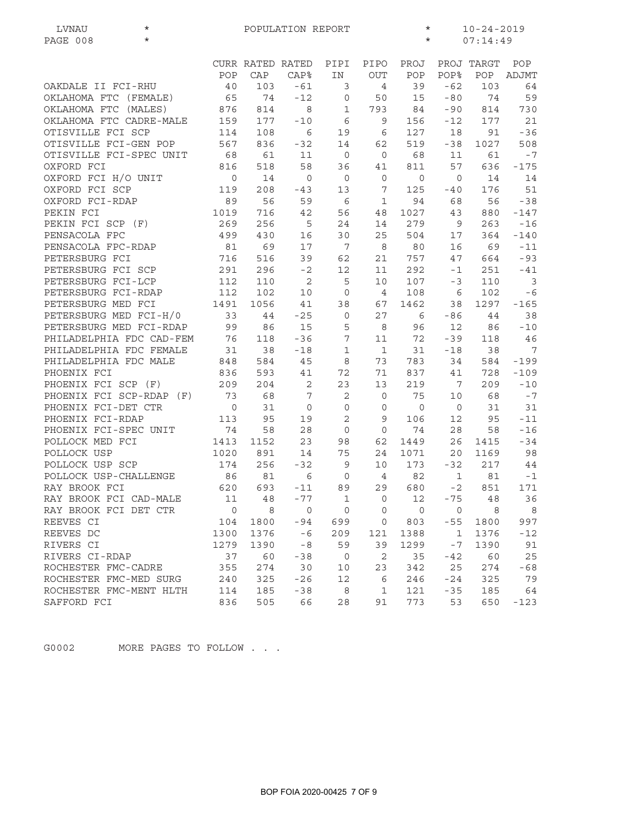| PAGE 008<br>$\star$<br>$\star$<br>07:14:49<br>POP<br>CURR RATED RATED<br>PIPI<br>PIPO<br>PROJ<br>PROJ TARGT<br>POP<br><b>POP%</b><br>POP<br>CAP<br><b>CAP%</b><br>IN<br><b>OUT</b><br>POP<br>ADJMT<br>40<br>39<br>$-62$<br>103<br>OAKDALE II FCI-RHU<br>103<br>$-61$<br>3<br>$\overline{4}$<br>64<br>65<br>OKLAHOMA FTC (FEMALE)<br>74<br>$-12$<br>$-80$<br>74<br>59<br>$\mathbf 0$<br>50<br>15<br>OKLAHOMA FTC (MALES)<br>876<br>$\,8\,$<br>$-90$<br>814<br>$\mathbf{1}$<br>793<br>84<br>814<br>730<br>OKLAHOMA FTC CADRE-MALE<br>159<br>177<br>$-10$<br>6<br>9<br>21<br>156<br>$-12$<br>177<br>OTISVILLE FCI SCP<br>$\epsilon$<br>6<br>$-36$<br>114<br>108<br>19<br>127<br>18<br>91<br>OTISVILLE FCI-GEN POP<br>567<br>836<br>$-32$<br>14<br>62<br>519<br>$-38$<br>1027<br>508<br>OTISVILLE FCI-SPEC UNIT<br>68<br>$\overline{0}$<br>68<br>61<br>11<br>$\overline{0}$<br>11<br>61<br>$-7$<br>OXFORD FCI<br>58<br>57<br>816<br>518<br>36<br>811<br>636<br>$-175$<br>41<br>OXFORD FCI H/O UNIT<br>$\circ$<br>14<br>$\overline{0}$<br>$\circ$<br>14<br>$\mathbf 0$<br>$\mathsf{O}$<br>$\circ$<br>14<br>OXFORD FCI SCP<br>119<br>208<br>13<br>$\overline{7}$<br>125<br>176<br>51<br>$-43$<br>$-40$<br>OXFORD FCI-RDAP<br>89<br>56<br>59<br>6<br>$\mathbf 1$<br>94<br>68<br>56<br>$-38$<br>PEKIN FCI<br>1027<br>1019<br>716<br>42<br>56<br>48<br>43<br>880<br>$-147$<br>PEKIN FCI SCP (F)<br>269<br>256<br>279<br>5<br>24<br>14<br>9<br>263<br>$-16$<br>PENSACOLA FPC<br>499<br>16<br>30<br>25<br>504<br>364<br>430<br>17<br>$-140$<br>PENSACOLA FPC-RDAP<br>81<br>69<br>17<br>7<br>69<br>8<br>80<br>16<br>$-11$<br>716<br>62<br>757<br>PETERSBURG FCI<br>516<br>39<br>21<br>47<br>664<br>$-93$<br>PETERSBURG FCI SCP<br>291<br>296<br>$-41$<br>$-2$<br>12<br>11<br>292<br>$-1$<br>251<br>PETERSBURG FCI-LCP<br>$\sqrt{2}$<br>5<br>107<br>$\overline{3}$<br>112<br>110<br>10<br>$-3$<br>110<br>PETERSBURG FCI-RDAP<br>$-6$<br>112<br>102<br>10<br>$\mathbf 0$<br>$\overline{4}$<br>108<br>6<br>102<br>PETERSBURG MED FCI<br>1462<br>1297<br>$-165$<br>1491<br>1056<br>41<br>38<br>67<br>38<br>PETERSBURG MED FCI-H/0<br>33<br>$\circ$<br>27<br>38<br>44<br>$-25$<br>6<br>-86<br>44<br>PETERSBURG MED FCI-RDAP<br>99<br>15<br>5<br>8<br>96<br>12<br>86<br>86<br>$-10$<br>PHILADELPHIA FDC CAD-FEM<br>76<br>7<br>11<br>72<br>$-39$<br>46<br>118<br>$-36$<br>118<br>PHILADELPHIA FDC FEMALE<br>31<br>38<br>$\mathbf{1}$<br>31<br>38<br>$7\phantom{.0}\phantom{.0}7$<br>$-18$<br>$\mathbf 1$<br>$-18$<br>PHILADELPHIA FDC MALE<br>848<br>584<br>45<br>8<br>73<br>783<br>34<br>584<br>$-199$<br>41<br>72<br>71<br>837<br>$-109$<br>PHOENIX FCI<br>836<br>593<br>41<br>728<br>PHOENIX FCI SCP (F)<br>$\sqrt{2}$<br>23<br>209<br>209<br>204<br>13<br>219<br>7<br>$-10$<br>PHOENIX FCI SCP-RDAP (F)<br>73<br>68<br>$\boldsymbol{7}$<br>$\mathbf{2}$<br>$-7$<br>$\mathbf 0$<br>75<br>10<br>68<br>PHOENIX FCI-DET CTR<br>$\mathbf 0$<br>31<br>31<br>$\circ$<br>$\mathbf 0$<br>$\circ$<br>$\mathbf 0$<br>$\circ$<br>31<br>95<br>$\mathbf{2}$<br>$-11$<br>PHOENIX FCI-RDAP<br>113<br>19<br>9<br>106<br>95<br>12<br>PHOENIX FCI-SPEC UNIT<br>74<br>$\mathbf{O}$<br>74<br>$2\,8$<br>58<br>28<br>$\mathbf 0$<br>58<br>$-16$<br>POLLOCK MED FCI<br>26<br>$-34$<br>1413<br>1152<br>23<br>98<br>62<br>1449<br>1415<br>POLLOCK USP<br>14<br>98<br>1020<br>891<br>75<br>24<br>1071<br>20 <sub>o</sub><br>1169<br>POLLOCK USP SCP<br>174<br>256<br>173<br>$-32$<br>217<br>$-32$<br>9<br>10<br>44<br>POLLOCK USP-CHALLENGE<br>86<br>$\epsilon$<br>$\overline{4}$<br>82<br>$-1$<br>81<br>$\mathbf 0$<br>$\mathbf 1$<br>81<br>29<br>693<br>89<br>RAY BROOK FCI<br>620<br>680<br>851<br>171<br>$-11$<br>$-2$<br>RAY BROOK FCI CAD-MALE<br>11<br>12<br>36<br>48<br>-77<br>0<br>-75<br>48<br>1<br>RAY BROOK FCI DET CTR<br>$\mathsf{O}$<br>8<br>$\circ$<br>$\circ$<br>$\mathsf{O}$<br>$\circ$<br>8<br>8<br>0<br>REEVES CI<br>803<br>997<br>104<br>1800<br>-94<br>699<br>0<br>$-55$<br>1800<br>REEVES DC<br>1376<br>$-6$<br>1388<br>1376<br>$-12$<br>1300<br>209<br>121<br>$\mathbf{1}$<br>RIVERS CI<br>1390<br>$-8$<br>59<br>1390<br>1279<br>39<br>1299<br>- 7<br>91<br>RIVERS CI-RDAP<br>60<br>2<br>60<br>25<br>37<br>$-38$<br>$\overline{0}$<br>35<br>$-42$<br>ROCHESTER FMC-CADRE<br>355<br>23<br>25<br>274<br>30<br>10<br>342<br>274<br>$-68$<br>325<br>325<br>79<br>ROCHESTER FMC-MED SURG<br>240<br>$-26$<br>12<br>6<br>246<br>$-24$<br>8<br>121<br>185<br>ROCHESTER FMC-MENT HLTH<br>114<br>185<br>$-38$<br>$\mathbf{1}$<br>$-35$<br>64 | LVNAU       | $^\star$ | POPULATION REPORT<br>$^\star$<br>$10 - 24 - 2019$ |     |    |    |    |     |    |     |        |
|------------------------------------------------------------------------------------------------------------------------------------------------------------------------------------------------------------------------------------------------------------------------------------------------------------------------------------------------------------------------------------------------------------------------------------------------------------------------------------------------------------------------------------------------------------------------------------------------------------------------------------------------------------------------------------------------------------------------------------------------------------------------------------------------------------------------------------------------------------------------------------------------------------------------------------------------------------------------------------------------------------------------------------------------------------------------------------------------------------------------------------------------------------------------------------------------------------------------------------------------------------------------------------------------------------------------------------------------------------------------------------------------------------------------------------------------------------------------------------------------------------------------------------------------------------------------------------------------------------------------------------------------------------------------------------------------------------------------------------------------------------------------------------------------------------------------------------------------------------------------------------------------------------------------------------------------------------------------------------------------------------------------------------------------------------------------------------------------------------------------------------------------------------------------------------------------------------------------------------------------------------------------------------------------------------------------------------------------------------------------------------------------------------------------------------------------------------------------------------------------------------------------------------------------------------------------------------------------------------------------------------------------------------------------------------------------------------------------------------------------------------------------------------------------------------------------------------------------------------------------------------------------------------------------------------------------------------------------------------------------------------------------------------------------------------------------------------------------------------------------------------------------------------------------------------------------------------------------------------------------------------------------------------------------------------------------------------------------------------------------------------------------------------------------------------------------------------------------------------------------------------------------------------------------------------------------------------------------------------------------------------------------------------------------------------------------------------------------------------------------------------------------------------------------------------------------------------------------------------------------------------------------------------------------------------------------------------------------------------------------------------------------------------------------------------------------------------------------------------------------------------------------------------------------------------------------------------------------------------------------------------------------------------------------------------------------------------------------------------------------------------------------------------------------------------------------------------------------------------------------------------------|-------------|----------|---------------------------------------------------|-----|----|----|----|-----|----|-----|--------|
|                                                                                                                                                                                                                                                                                                                                                                                                                                                                                                                                                                                                                                                                                                                                                                                                                                                                                                                                                                                                                                                                                                                                                                                                                                                                                                                                                                                                                                                                                                                                                                                                                                                                                                                                                                                                                                                                                                                                                                                                                                                                                                                                                                                                                                                                                                                                                                                                                                                                                                                                                                                                                                                                                                                                                                                                                                                                                                                                                                                                                                                                                                                                                                                                                                                                                                                                                                                                                                                                                                                                                                                                                                                                                                                                                                                                                                                                                                                                                                                                                                                                                                                                                                                                                                                                                                                                                                                                                                                                                                                  |             |          |                                                   |     |    |    |    |     |    |     |        |
|                                                                                                                                                                                                                                                                                                                                                                                                                                                                                                                                                                                                                                                                                                                                                                                                                                                                                                                                                                                                                                                                                                                                                                                                                                                                                                                                                                                                                                                                                                                                                                                                                                                                                                                                                                                                                                                                                                                                                                                                                                                                                                                                                                                                                                                                                                                                                                                                                                                                                                                                                                                                                                                                                                                                                                                                                                                                                                                                                                                                                                                                                                                                                                                                                                                                                                                                                                                                                                                                                                                                                                                                                                                                                                                                                                                                                                                                                                                                                                                                                                                                                                                                                                                                                                                                                                                                                                                                                                                                                                                  |             |          |                                                   |     |    |    |    |     |    |     |        |
|                                                                                                                                                                                                                                                                                                                                                                                                                                                                                                                                                                                                                                                                                                                                                                                                                                                                                                                                                                                                                                                                                                                                                                                                                                                                                                                                                                                                                                                                                                                                                                                                                                                                                                                                                                                                                                                                                                                                                                                                                                                                                                                                                                                                                                                                                                                                                                                                                                                                                                                                                                                                                                                                                                                                                                                                                                                                                                                                                                                                                                                                                                                                                                                                                                                                                                                                                                                                                                                                                                                                                                                                                                                                                                                                                                                                                                                                                                                                                                                                                                                                                                                                                                                                                                                                                                                                                                                                                                                                                                                  |             |          |                                                   |     |    |    |    |     |    |     |        |
|                                                                                                                                                                                                                                                                                                                                                                                                                                                                                                                                                                                                                                                                                                                                                                                                                                                                                                                                                                                                                                                                                                                                                                                                                                                                                                                                                                                                                                                                                                                                                                                                                                                                                                                                                                                                                                                                                                                                                                                                                                                                                                                                                                                                                                                                                                                                                                                                                                                                                                                                                                                                                                                                                                                                                                                                                                                                                                                                                                                                                                                                                                                                                                                                                                                                                                                                                                                                                                                                                                                                                                                                                                                                                                                                                                                                                                                                                                                                                                                                                                                                                                                                                                                                                                                                                                                                                                                                                                                                                                                  |             |          |                                                   |     |    |    |    |     |    |     |        |
|                                                                                                                                                                                                                                                                                                                                                                                                                                                                                                                                                                                                                                                                                                                                                                                                                                                                                                                                                                                                                                                                                                                                                                                                                                                                                                                                                                                                                                                                                                                                                                                                                                                                                                                                                                                                                                                                                                                                                                                                                                                                                                                                                                                                                                                                                                                                                                                                                                                                                                                                                                                                                                                                                                                                                                                                                                                                                                                                                                                                                                                                                                                                                                                                                                                                                                                                                                                                                                                                                                                                                                                                                                                                                                                                                                                                                                                                                                                                                                                                                                                                                                                                                                                                                                                                                                                                                                                                                                                                                                                  |             |          |                                                   |     |    |    |    |     |    |     |        |
|                                                                                                                                                                                                                                                                                                                                                                                                                                                                                                                                                                                                                                                                                                                                                                                                                                                                                                                                                                                                                                                                                                                                                                                                                                                                                                                                                                                                                                                                                                                                                                                                                                                                                                                                                                                                                                                                                                                                                                                                                                                                                                                                                                                                                                                                                                                                                                                                                                                                                                                                                                                                                                                                                                                                                                                                                                                                                                                                                                                                                                                                                                                                                                                                                                                                                                                                                                                                                                                                                                                                                                                                                                                                                                                                                                                                                                                                                                                                                                                                                                                                                                                                                                                                                                                                                                                                                                                                                                                                                                                  |             |          |                                                   |     |    |    |    |     |    |     |        |
|                                                                                                                                                                                                                                                                                                                                                                                                                                                                                                                                                                                                                                                                                                                                                                                                                                                                                                                                                                                                                                                                                                                                                                                                                                                                                                                                                                                                                                                                                                                                                                                                                                                                                                                                                                                                                                                                                                                                                                                                                                                                                                                                                                                                                                                                                                                                                                                                                                                                                                                                                                                                                                                                                                                                                                                                                                                                                                                                                                                                                                                                                                                                                                                                                                                                                                                                                                                                                                                                                                                                                                                                                                                                                                                                                                                                                                                                                                                                                                                                                                                                                                                                                                                                                                                                                                                                                                                                                                                                                                                  |             |          |                                                   |     |    |    |    |     |    |     |        |
|                                                                                                                                                                                                                                                                                                                                                                                                                                                                                                                                                                                                                                                                                                                                                                                                                                                                                                                                                                                                                                                                                                                                                                                                                                                                                                                                                                                                                                                                                                                                                                                                                                                                                                                                                                                                                                                                                                                                                                                                                                                                                                                                                                                                                                                                                                                                                                                                                                                                                                                                                                                                                                                                                                                                                                                                                                                                                                                                                                                                                                                                                                                                                                                                                                                                                                                                                                                                                                                                                                                                                                                                                                                                                                                                                                                                                                                                                                                                                                                                                                                                                                                                                                                                                                                                                                                                                                                                                                                                                                                  |             |          |                                                   |     |    |    |    |     |    |     |        |
|                                                                                                                                                                                                                                                                                                                                                                                                                                                                                                                                                                                                                                                                                                                                                                                                                                                                                                                                                                                                                                                                                                                                                                                                                                                                                                                                                                                                                                                                                                                                                                                                                                                                                                                                                                                                                                                                                                                                                                                                                                                                                                                                                                                                                                                                                                                                                                                                                                                                                                                                                                                                                                                                                                                                                                                                                                                                                                                                                                                                                                                                                                                                                                                                                                                                                                                                                                                                                                                                                                                                                                                                                                                                                                                                                                                                                                                                                                                                                                                                                                                                                                                                                                                                                                                                                                                                                                                                                                                                                                                  |             |          |                                                   |     |    |    |    |     |    |     |        |
|                                                                                                                                                                                                                                                                                                                                                                                                                                                                                                                                                                                                                                                                                                                                                                                                                                                                                                                                                                                                                                                                                                                                                                                                                                                                                                                                                                                                                                                                                                                                                                                                                                                                                                                                                                                                                                                                                                                                                                                                                                                                                                                                                                                                                                                                                                                                                                                                                                                                                                                                                                                                                                                                                                                                                                                                                                                                                                                                                                                                                                                                                                                                                                                                                                                                                                                                                                                                                                                                                                                                                                                                                                                                                                                                                                                                                                                                                                                                                                                                                                                                                                                                                                                                                                                                                                                                                                                                                                                                                                                  |             |          |                                                   |     |    |    |    |     |    |     |        |
|                                                                                                                                                                                                                                                                                                                                                                                                                                                                                                                                                                                                                                                                                                                                                                                                                                                                                                                                                                                                                                                                                                                                                                                                                                                                                                                                                                                                                                                                                                                                                                                                                                                                                                                                                                                                                                                                                                                                                                                                                                                                                                                                                                                                                                                                                                                                                                                                                                                                                                                                                                                                                                                                                                                                                                                                                                                                                                                                                                                                                                                                                                                                                                                                                                                                                                                                                                                                                                                                                                                                                                                                                                                                                                                                                                                                                                                                                                                                                                                                                                                                                                                                                                                                                                                                                                                                                                                                                                                                                                                  |             |          |                                                   |     |    |    |    |     |    |     |        |
|                                                                                                                                                                                                                                                                                                                                                                                                                                                                                                                                                                                                                                                                                                                                                                                                                                                                                                                                                                                                                                                                                                                                                                                                                                                                                                                                                                                                                                                                                                                                                                                                                                                                                                                                                                                                                                                                                                                                                                                                                                                                                                                                                                                                                                                                                                                                                                                                                                                                                                                                                                                                                                                                                                                                                                                                                                                                                                                                                                                                                                                                                                                                                                                                                                                                                                                                                                                                                                                                                                                                                                                                                                                                                                                                                                                                                                                                                                                                                                                                                                                                                                                                                                                                                                                                                                                                                                                                                                                                                                                  |             |          |                                                   |     |    |    |    |     |    |     |        |
|                                                                                                                                                                                                                                                                                                                                                                                                                                                                                                                                                                                                                                                                                                                                                                                                                                                                                                                                                                                                                                                                                                                                                                                                                                                                                                                                                                                                                                                                                                                                                                                                                                                                                                                                                                                                                                                                                                                                                                                                                                                                                                                                                                                                                                                                                                                                                                                                                                                                                                                                                                                                                                                                                                                                                                                                                                                                                                                                                                                                                                                                                                                                                                                                                                                                                                                                                                                                                                                                                                                                                                                                                                                                                                                                                                                                                                                                                                                                                                                                                                                                                                                                                                                                                                                                                                                                                                                                                                                                                                                  |             |          |                                                   |     |    |    |    |     |    |     |        |
|                                                                                                                                                                                                                                                                                                                                                                                                                                                                                                                                                                                                                                                                                                                                                                                                                                                                                                                                                                                                                                                                                                                                                                                                                                                                                                                                                                                                                                                                                                                                                                                                                                                                                                                                                                                                                                                                                                                                                                                                                                                                                                                                                                                                                                                                                                                                                                                                                                                                                                                                                                                                                                                                                                                                                                                                                                                                                                                                                                                                                                                                                                                                                                                                                                                                                                                                                                                                                                                                                                                                                                                                                                                                                                                                                                                                                                                                                                                                                                                                                                                                                                                                                                                                                                                                                                                                                                                                                                                                                                                  |             |          |                                                   |     |    |    |    |     |    |     |        |
|                                                                                                                                                                                                                                                                                                                                                                                                                                                                                                                                                                                                                                                                                                                                                                                                                                                                                                                                                                                                                                                                                                                                                                                                                                                                                                                                                                                                                                                                                                                                                                                                                                                                                                                                                                                                                                                                                                                                                                                                                                                                                                                                                                                                                                                                                                                                                                                                                                                                                                                                                                                                                                                                                                                                                                                                                                                                                                                                                                                                                                                                                                                                                                                                                                                                                                                                                                                                                                                                                                                                                                                                                                                                                                                                                                                                                                                                                                                                                                                                                                                                                                                                                                                                                                                                                                                                                                                                                                                                                                                  |             |          |                                                   |     |    |    |    |     |    |     |        |
|                                                                                                                                                                                                                                                                                                                                                                                                                                                                                                                                                                                                                                                                                                                                                                                                                                                                                                                                                                                                                                                                                                                                                                                                                                                                                                                                                                                                                                                                                                                                                                                                                                                                                                                                                                                                                                                                                                                                                                                                                                                                                                                                                                                                                                                                                                                                                                                                                                                                                                                                                                                                                                                                                                                                                                                                                                                                                                                                                                                                                                                                                                                                                                                                                                                                                                                                                                                                                                                                                                                                                                                                                                                                                                                                                                                                                                                                                                                                                                                                                                                                                                                                                                                                                                                                                                                                                                                                                                                                                                                  |             |          |                                                   |     |    |    |    |     |    |     |        |
|                                                                                                                                                                                                                                                                                                                                                                                                                                                                                                                                                                                                                                                                                                                                                                                                                                                                                                                                                                                                                                                                                                                                                                                                                                                                                                                                                                                                                                                                                                                                                                                                                                                                                                                                                                                                                                                                                                                                                                                                                                                                                                                                                                                                                                                                                                                                                                                                                                                                                                                                                                                                                                                                                                                                                                                                                                                                                                                                                                                                                                                                                                                                                                                                                                                                                                                                                                                                                                                                                                                                                                                                                                                                                                                                                                                                                                                                                                                                                                                                                                                                                                                                                                                                                                                                                                                                                                                                                                                                                                                  |             |          |                                                   |     |    |    |    |     |    |     |        |
|                                                                                                                                                                                                                                                                                                                                                                                                                                                                                                                                                                                                                                                                                                                                                                                                                                                                                                                                                                                                                                                                                                                                                                                                                                                                                                                                                                                                                                                                                                                                                                                                                                                                                                                                                                                                                                                                                                                                                                                                                                                                                                                                                                                                                                                                                                                                                                                                                                                                                                                                                                                                                                                                                                                                                                                                                                                                                                                                                                                                                                                                                                                                                                                                                                                                                                                                                                                                                                                                                                                                                                                                                                                                                                                                                                                                                                                                                                                                                                                                                                                                                                                                                                                                                                                                                                                                                                                                                                                                                                                  |             |          |                                                   |     |    |    |    |     |    |     |        |
|                                                                                                                                                                                                                                                                                                                                                                                                                                                                                                                                                                                                                                                                                                                                                                                                                                                                                                                                                                                                                                                                                                                                                                                                                                                                                                                                                                                                                                                                                                                                                                                                                                                                                                                                                                                                                                                                                                                                                                                                                                                                                                                                                                                                                                                                                                                                                                                                                                                                                                                                                                                                                                                                                                                                                                                                                                                                                                                                                                                                                                                                                                                                                                                                                                                                                                                                                                                                                                                                                                                                                                                                                                                                                                                                                                                                                                                                                                                                                                                                                                                                                                                                                                                                                                                                                                                                                                                                                                                                                                                  |             |          |                                                   |     |    |    |    |     |    |     |        |
|                                                                                                                                                                                                                                                                                                                                                                                                                                                                                                                                                                                                                                                                                                                                                                                                                                                                                                                                                                                                                                                                                                                                                                                                                                                                                                                                                                                                                                                                                                                                                                                                                                                                                                                                                                                                                                                                                                                                                                                                                                                                                                                                                                                                                                                                                                                                                                                                                                                                                                                                                                                                                                                                                                                                                                                                                                                                                                                                                                                                                                                                                                                                                                                                                                                                                                                                                                                                                                                                                                                                                                                                                                                                                                                                                                                                                                                                                                                                                                                                                                                                                                                                                                                                                                                                                                                                                                                                                                                                                                                  |             |          |                                                   |     |    |    |    |     |    |     |        |
|                                                                                                                                                                                                                                                                                                                                                                                                                                                                                                                                                                                                                                                                                                                                                                                                                                                                                                                                                                                                                                                                                                                                                                                                                                                                                                                                                                                                                                                                                                                                                                                                                                                                                                                                                                                                                                                                                                                                                                                                                                                                                                                                                                                                                                                                                                                                                                                                                                                                                                                                                                                                                                                                                                                                                                                                                                                                                                                                                                                                                                                                                                                                                                                                                                                                                                                                                                                                                                                                                                                                                                                                                                                                                                                                                                                                                                                                                                                                                                                                                                                                                                                                                                                                                                                                                                                                                                                                                                                                                                                  |             |          |                                                   |     |    |    |    |     |    |     |        |
|                                                                                                                                                                                                                                                                                                                                                                                                                                                                                                                                                                                                                                                                                                                                                                                                                                                                                                                                                                                                                                                                                                                                                                                                                                                                                                                                                                                                                                                                                                                                                                                                                                                                                                                                                                                                                                                                                                                                                                                                                                                                                                                                                                                                                                                                                                                                                                                                                                                                                                                                                                                                                                                                                                                                                                                                                                                                                                                                                                                                                                                                                                                                                                                                                                                                                                                                                                                                                                                                                                                                                                                                                                                                                                                                                                                                                                                                                                                                                                                                                                                                                                                                                                                                                                                                                                                                                                                                                                                                                                                  |             |          |                                                   |     |    |    |    |     |    |     |        |
|                                                                                                                                                                                                                                                                                                                                                                                                                                                                                                                                                                                                                                                                                                                                                                                                                                                                                                                                                                                                                                                                                                                                                                                                                                                                                                                                                                                                                                                                                                                                                                                                                                                                                                                                                                                                                                                                                                                                                                                                                                                                                                                                                                                                                                                                                                                                                                                                                                                                                                                                                                                                                                                                                                                                                                                                                                                                                                                                                                                                                                                                                                                                                                                                                                                                                                                                                                                                                                                                                                                                                                                                                                                                                                                                                                                                                                                                                                                                                                                                                                                                                                                                                                                                                                                                                                                                                                                                                                                                                                                  |             |          |                                                   |     |    |    |    |     |    |     |        |
|                                                                                                                                                                                                                                                                                                                                                                                                                                                                                                                                                                                                                                                                                                                                                                                                                                                                                                                                                                                                                                                                                                                                                                                                                                                                                                                                                                                                                                                                                                                                                                                                                                                                                                                                                                                                                                                                                                                                                                                                                                                                                                                                                                                                                                                                                                                                                                                                                                                                                                                                                                                                                                                                                                                                                                                                                                                                                                                                                                                                                                                                                                                                                                                                                                                                                                                                                                                                                                                                                                                                                                                                                                                                                                                                                                                                                                                                                                                                                                                                                                                                                                                                                                                                                                                                                                                                                                                                                                                                                                                  |             |          |                                                   |     |    |    |    |     |    |     |        |
|                                                                                                                                                                                                                                                                                                                                                                                                                                                                                                                                                                                                                                                                                                                                                                                                                                                                                                                                                                                                                                                                                                                                                                                                                                                                                                                                                                                                                                                                                                                                                                                                                                                                                                                                                                                                                                                                                                                                                                                                                                                                                                                                                                                                                                                                                                                                                                                                                                                                                                                                                                                                                                                                                                                                                                                                                                                                                                                                                                                                                                                                                                                                                                                                                                                                                                                                                                                                                                                                                                                                                                                                                                                                                                                                                                                                                                                                                                                                                                                                                                                                                                                                                                                                                                                                                                                                                                                                                                                                                                                  |             |          |                                                   |     |    |    |    |     |    |     |        |
|                                                                                                                                                                                                                                                                                                                                                                                                                                                                                                                                                                                                                                                                                                                                                                                                                                                                                                                                                                                                                                                                                                                                                                                                                                                                                                                                                                                                                                                                                                                                                                                                                                                                                                                                                                                                                                                                                                                                                                                                                                                                                                                                                                                                                                                                                                                                                                                                                                                                                                                                                                                                                                                                                                                                                                                                                                                                                                                                                                                                                                                                                                                                                                                                                                                                                                                                                                                                                                                                                                                                                                                                                                                                                                                                                                                                                                                                                                                                                                                                                                                                                                                                                                                                                                                                                                                                                                                                                                                                                                                  |             |          |                                                   |     |    |    |    |     |    |     |        |
|                                                                                                                                                                                                                                                                                                                                                                                                                                                                                                                                                                                                                                                                                                                                                                                                                                                                                                                                                                                                                                                                                                                                                                                                                                                                                                                                                                                                                                                                                                                                                                                                                                                                                                                                                                                                                                                                                                                                                                                                                                                                                                                                                                                                                                                                                                                                                                                                                                                                                                                                                                                                                                                                                                                                                                                                                                                                                                                                                                                                                                                                                                                                                                                                                                                                                                                                                                                                                                                                                                                                                                                                                                                                                                                                                                                                                                                                                                                                                                                                                                                                                                                                                                                                                                                                                                                                                                                                                                                                                                                  |             |          |                                                   |     |    |    |    |     |    |     |        |
|                                                                                                                                                                                                                                                                                                                                                                                                                                                                                                                                                                                                                                                                                                                                                                                                                                                                                                                                                                                                                                                                                                                                                                                                                                                                                                                                                                                                                                                                                                                                                                                                                                                                                                                                                                                                                                                                                                                                                                                                                                                                                                                                                                                                                                                                                                                                                                                                                                                                                                                                                                                                                                                                                                                                                                                                                                                                                                                                                                                                                                                                                                                                                                                                                                                                                                                                                                                                                                                                                                                                                                                                                                                                                                                                                                                                                                                                                                                                                                                                                                                                                                                                                                                                                                                                                                                                                                                                                                                                                                                  |             |          |                                                   |     |    |    |    |     |    |     |        |
|                                                                                                                                                                                                                                                                                                                                                                                                                                                                                                                                                                                                                                                                                                                                                                                                                                                                                                                                                                                                                                                                                                                                                                                                                                                                                                                                                                                                                                                                                                                                                                                                                                                                                                                                                                                                                                                                                                                                                                                                                                                                                                                                                                                                                                                                                                                                                                                                                                                                                                                                                                                                                                                                                                                                                                                                                                                                                                                                                                                                                                                                                                                                                                                                                                                                                                                                                                                                                                                                                                                                                                                                                                                                                                                                                                                                                                                                                                                                                                                                                                                                                                                                                                                                                                                                                                                                                                                                                                                                                                                  |             |          |                                                   |     |    |    |    |     |    |     |        |
|                                                                                                                                                                                                                                                                                                                                                                                                                                                                                                                                                                                                                                                                                                                                                                                                                                                                                                                                                                                                                                                                                                                                                                                                                                                                                                                                                                                                                                                                                                                                                                                                                                                                                                                                                                                                                                                                                                                                                                                                                                                                                                                                                                                                                                                                                                                                                                                                                                                                                                                                                                                                                                                                                                                                                                                                                                                                                                                                                                                                                                                                                                                                                                                                                                                                                                                                                                                                                                                                                                                                                                                                                                                                                                                                                                                                                                                                                                                                                                                                                                                                                                                                                                                                                                                                                                                                                                                                                                                                                                                  |             |          |                                                   |     |    |    |    |     |    |     |        |
|                                                                                                                                                                                                                                                                                                                                                                                                                                                                                                                                                                                                                                                                                                                                                                                                                                                                                                                                                                                                                                                                                                                                                                                                                                                                                                                                                                                                                                                                                                                                                                                                                                                                                                                                                                                                                                                                                                                                                                                                                                                                                                                                                                                                                                                                                                                                                                                                                                                                                                                                                                                                                                                                                                                                                                                                                                                                                                                                                                                                                                                                                                                                                                                                                                                                                                                                                                                                                                                                                                                                                                                                                                                                                                                                                                                                                                                                                                                                                                                                                                                                                                                                                                                                                                                                                                                                                                                                                                                                                                                  |             |          |                                                   |     |    |    |    |     |    |     |        |
|                                                                                                                                                                                                                                                                                                                                                                                                                                                                                                                                                                                                                                                                                                                                                                                                                                                                                                                                                                                                                                                                                                                                                                                                                                                                                                                                                                                                                                                                                                                                                                                                                                                                                                                                                                                                                                                                                                                                                                                                                                                                                                                                                                                                                                                                                                                                                                                                                                                                                                                                                                                                                                                                                                                                                                                                                                                                                                                                                                                                                                                                                                                                                                                                                                                                                                                                                                                                                                                                                                                                                                                                                                                                                                                                                                                                                                                                                                                                                                                                                                                                                                                                                                                                                                                                                                                                                                                                                                                                                                                  |             |          |                                                   |     |    |    |    |     |    |     |        |
|                                                                                                                                                                                                                                                                                                                                                                                                                                                                                                                                                                                                                                                                                                                                                                                                                                                                                                                                                                                                                                                                                                                                                                                                                                                                                                                                                                                                                                                                                                                                                                                                                                                                                                                                                                                                                                                                                                                                                                                                                                                                                                                                                                                                                                                                                                                                                                                                                                                                                                                                                                                                                                                                                                                                                                                                                                                                                                                                                                                                                                                                                                                                                                                                                                                                                                                                                                                                                                                                                                                                                                                                                                                                                                                                                                                                                                                                                                                                                                                                                                                                                                                                                                                                                                                                                                                                                                                                                                                                                                                  |             |          |                                                   |     |    |    |    |     |    |     |        |
|                                                                                                                                                                                                                                                                                                                                                                                                                                                                                                                                                                                                                                                                                                                                                                                                                                                                                                                                                                                                                                                                                                                                                                                                                                                                                                                                                                                                                                                                                                                                                                                                                                                                                                                                                                                                                                                                                                                                                                                                                                                                                                                                                                                                                                                                                                                                                                                                                                                                                                                                                                                                                                                                                                                                                                                                                                                                                                                                                                                                                                                                                                                                                                                                                                                                                                                                                                                                                                                                                                                                                                                                                                                                                                                                                                                                                                                                                                                                                                                                                                                                                                                                                                                                                                                                                                                                                                                                                                                                                                                  |             |          |                                                   |     |    |    |    |     |    |     |        |
|                                                                                                                                                                                                                                                                                                                                                                                                                                                                                                                                                                                                                                                                                                                                                                                                                                                                                                                                                                                                                                                                                                                                                                                                                                                                                                                                                                                                                                                                                                                                                                                                                                                                                                                                                                                                                                                                                                                                                                                                                                                                                                                                                                                                                                                                                                                                                                                                                                                                                                                                                                                                                                                                                                                                                                                                                                                                                                                                                                                                                                                                                                                                                                                                                                                                                                                                                                                                                                                                                                                                                                                                                                                                                                                                                                                                                                                                                                                                                                                                                                                                                                                                                                                                                                                                                                                                                                                                                                                                                                                  |             |          |                                                   |     |    |    |    |     |    |     |        |
|                                                                                                                                                                                                                                                                                                                                                                                                                                                                                                                                                                                                                                                                                                                                                                                                                                                                                                                                                                                                                                                                                                                                                                                                                                                                                                                                                                                                                                                                                                                                                                                                                                                                                                                                                                                                                                                                                                                                                                                                                                                                                                                                                                                                                                                                                                                                                                                                                                                                                                                                                                                                                                                                                                                                                                                                                                                                                                                                                                                                                                                                                                                                                                                                                                                                                                                                                                                                                                                                                                                                                                                                                                                                                                                                                                                                                                                                                                                                                                                                                                                                                                                                                                                                                                                                                                                                                                                                                                                                                                                  |             |          |                                                   |     |    |    |    |     |    |     |        |
|                                                                                                                                                                                                                                                                                                                                                                                                                                                                                                                                                                                                                                                                                                                                                                                                                                                                                                                                                                                                                                                                                                                                                                                                                                                                                                                                                                                                                                                                                                                                                                                                                                                                                                                                                                                                                                                                                                                                                                                                                                                                                                                                                                                                                                                                                                                                                                                                                                                                                                                                                                                                                                                                                                                                                                                                                                                                                                                                                                                                                                                                                                                                                                                                                                                                                                                                                                                                                                                                                                                                                                                                                                                                                                                                                                                                                                                                                                                                                                                                                                                                                                                                                                                                                                                                                                                                                                                                                                                                                                                  |             |          |                                                   |     |    |    |    |     |    |     |        |
|                                                                                                                                                                                                                                                                                                                                                                                                                                                                                                                                                                                                                                                                                                                                                                                                                                                                                                                                                                                                                                                                                                                                                                                                                                                                                                                                                                                                                                                                                                                                                                                                                                                                                                                                                                                                                                                                                                                                                                                                                                                                                                                                                                                                                                                                                                                                                                                                                                                                                                                                                                                                                                                                                                                                                                                                                                                                                                                                                                                                                                                                                                                                                                                                                                                                                                                                                                                                                                                                                                                                                                                                                                                                                                                                                                                                                                                                                                                                                                                                                                                                                                                                                                                                                                                                                                                                                                                                                                                                                                                  |             |          |                                                   |     |    |    |    |     |    |     |        |
|                                                                                                                                                                                                                                                                                                                                                                                                                                                                                                                                                                                                                                                                                                                                                                                                                                                                                                                                                                                                                                                                                                                                                                                                                                                                                                                                                                                                                                                                                                                                                                                                                                                                                                                                                                                                                                                                                                                                                                                                                                                                                                                                                                                                                                                                                                                                                                                                                                                                                                                                                                                                                                                                                                                                                                                                                                                                                                                                                                                                                                                                                                                                                                                                                                                                                                                                                                                                                                                                                                                                                                                                                                                                                                                                                                                                                                                                                                                                                                                                                                                                                                                                                                                                                                                                                                                                                                                                                                                                                                                  |             |          |                                                   |     |    |    |    |     |    |     |        |
|                                                                                                                                                                                                                                                                                                                                                                                                                                                                                                                                                                                                                                                                                                                                                                                                                                                                                                                                                                                                                                                                                                                                                                                                                                                                                                                                                                                                                                                                                                                                                                                                                                                                                                                                                                                                                                                                                                                                                                                                                                                                                                                                                                                                                                                                                                                                                                                                                                                                                                                                                                                                                                                                                                                                                                                                                                                                                                                                                                                                                                                                                                                                                                                                                                                                                                                                                                                                                                                                                                                                                                                                                                                                                                                                                                                                                                                                                                                                                                                                                                                                                                                                                                                                                                                                                                                                                                                                                                                                                                                  |             |          |                                                   |     |    |    |    |     |    |     |        |
|                                                                                                                                                                                                                                                                                                                                                                                                                                                                                                                                                                                                                                                                                                                                                                                                                                                                                                                                                                                                                                                                                                                                                                                                                                                                                                                                                                                                                                                                                                                                                                                                                                                                                                                                                                                                                                                                                                                                                                                                                                                                                                                                                                                                                                                                                                                                                                                                                                                                                                                                                                                                                                                                                                                                                                                                                                                                                                                                                                                                                                                                                                                                                                                                                                                                                                                                                                                                                                                                                                                                                                                                                                                                                                                                                                                                                                                                                                                                                                                                                                                                                                                                                                                                                                                                                                                                                                                                                                                                                                                  |             |          |                                                   |     |    |    |    |     |    |     |        |
|                                                                                                                                                                                                                                                                                                                                                                                                                                                                                                                                                                                                                                                                                                                                                                                                                                                                                                                                                                                                                                                                                                                                                                                                                                                                                                                                                                                                                                                                                                                                                                                                                                                                                                                                                                                                                                                                                                                                                                                                                                                                                                                                                                                                                                                                                                                                                                                                                                                                                                                                                                                                                                                                                                                                                                                                                                                                                                                                                                                                                                                                                                                                                                                                                                                                                                                                                                                                                                                                                                                                                                                                                                                                                                                                                                                                                                                                                                                                                                                                                                                                                                                                                                                                                                                                                                                                                                                                                                                                                                                  |             |          |                                                   |     |    |    |    |     |    |     |        |
|                                                                                                                                                                                                                                                                                                                                                                                                                                                                                                                                                                                                                                                                                                                                                                                                                                                                                                                                                                                                                                                                                                                                                                                                                                                                                                                                                                                                                                                                                                                                                                                                                                                                                                                                                                                                                                                                                                                                                                                                                                                                                                                                                                                                                                                                                                                                                                                                                                                                                                                                                                                                                                                                                                                                                                                                                                                                                                                                                                                                                                                                                                                                                                                                                                                                                                                                                                                                                                                                                                                                                                                                                                                                                                                                                                                                                                                                                                                                                                                                                                                                                                                                                                                                                                                                                                                                                                                                                                                                                                                  |             |          |                                                   |     |    |    |    |     |    |     |        |
|                                                                                                                                                                                                                                                                                                                                                                                                                                                                                                                                                                                                                                                                                                                                                                                                                                                                                                                                                                                                                                                                                                                                                                                                                                                                                                                                                                                                                                                                                                                                                                                                                                                                                                                                                                                                                                                                                                                                                                                                                                                                                                                                                                                                                                                                                                                                                                                                                                                                                                                                                                                                                                                                                                                                                                                                                                                                                                                                                                                                                                                                                                                                                                                                                                                                                                                                                                                                                                                                                                                                                                                                                                                                                                                                                                                                                                                                                                                                                                                                                                                                                                                                                                                                                                                                                                                                                                                                                                                                                                                  |             |          |                                                   |     |    |    |    |     |    |     |        |
|                                                                                                                                                                                                                                                                                                                                                                                                                                                                                                                                                                                                                                                                                                                                                                                                                                                                                                                                                                                                                                                                                                                                                                                                                                                                                                                                                                                                                                                                                                                                                                                                                                                                                                                                                                                                                                                                                                                                                                                                                                                                                                                                                                                                                                                                                                                                                                                                                                                                                                                                                                                                                                                                                                                                                                                                                                                                                                                                                                                                                                                                                                                                                                                                                                                                                                                                                                                                                                                                                                                                                                                                                                                                                                                                                                                                                                                                                                                                                                                                                                                                                                                                                                                                                                                                                                                                                                                                                                                                                                                  |             |          |                                                   |     |    |    |    |     |    |     |        |
|                                                                                                                                                                                                                                                                                                                                                                                                                                                                                                                                                                                                                                                                                                                                                                                                                                                                                                                                                                                                                                                                                                                                                                                                                                                                                                                                                                                                                                                                                                                                                                                                                                                                                                                                                                                                                                                                                                                                                                                                                                                                                                                                                                                                                                                                                                                                                                                                                                                                                                                                                                                                                                                                                                                                                                                                                                                                                                                                                                                                                                                                                                                                                                                                                                                                                                                                                                                                                                                                                                                                                                                                                                                                                                                                                                                                                                                                                                                                                                                                                                                                                                                                                                                                                                                                                                                                                                                                                                                                                                                  |             |          |                                                   |     |    |    |    |     |    |     |        |
|                                                                                                                                                                                                                                                                                                                                                                                                                                                                                                                                                                                                                                                                                                                                                                                                                                                                                                                                                                                                                                                                                                                                                                                                                                                                                                                                                                                                                                                                                                                                                                                                                                                                                                                                                                                                                                                                                                                                                                                                                                                                                                                                                                                                                                                                                                                                                                                                                                                                                                                                                                                                                                                                                                                                                                                                                                                                                                                                                                                                                                                                                                                                                                                                                                                                                                                                                                                                                                                                                                                                                                                                                                                                                                                                                                                                                                                                                                                                                                                                                                                                                                                                                                                                                                                                                                                                                                                                                                                                                                                  |             |          |                                                   |     |    |    |    |     |    |     |        |
|                                                                                                                                                                                                                                                                                                                                                                                                                                                                                                                                                                                                                                                                                                                                                                                                                                                                                                                                                                                                                                                                                                                                                                                                                                                                                                                                                                                                                                                                                                                                                                                                                                                                                                                                                                                                                                                                                                                                                                                                                                                                                                                                                                                                                                                                                                                                                                                                                                                                                                                                                                                                                                                                                                                                                                                                                                                                                                                                                                                                                                                                                                                                                                                                                                                                                                                                                                                                                                                                                                                                                                                                                                                                                                                                                                                                                                                                                                                                                                                                                                                                                                                                                                                                                                                                                                                                                                                                                                                                                                                  |             |          |                                                   |     |    |    |    |     |    |     |        |
|                                                                                                                                                                                                                                                                                                                                                                                                                                                                                                                                                                                                                                                                                                                                                                                                                                                                                                                                                                                                                                                                                                                                                                                                                                                                                                                                                                                                                                                                                                                                                                                                                                                                                                                                                                                                                                                                                                                                                                                                                                                                                                                                                                                                                                                                                                                                                                                                                                                                                                                                                                                                                                                                                                                                                                                                                                                                                                                                                                                                                                                                                                                                                                                                                                                                                                                                                                                                                                                                                                                                                                                                                                                                                                                                                                                                                                                                                                                                                                                                                                                                                                                                                                                                                                                                                                                                                                                                                                                                                                                  |             |          |                                                   |     |    |    |    |     |    |     |        |
|                                                                                                                                                                                                                                                                                                                                                                                                                                                                                                                                                                                                                                                                                                                                                                                                                                                                                                                                                                                                                                                                                                                                                                                                                                                                                                                                                                                                                                                                                                                                                                                                                                                                                                                                                                                                                                                                                                                                                                                                                                                                                                                                                                                                                                                                                                                                                                                                                                                                                                                                                                                                                                                                                                                                                                                                                                                                                                                                                                                                                                                                                                                                                                                                                                                                                                                                                                                                                                                                                                                                                                                                                                                                                                                                                                                                                                                                                                                                                                                                                                                                                                                                                                                                                                                                                                                                                                                                                                                                                                                  | SAFFORD FCI |          | 836                                               | 505 | 66 | 28 | 91 | 773 | 53 | 650 | $-123$ |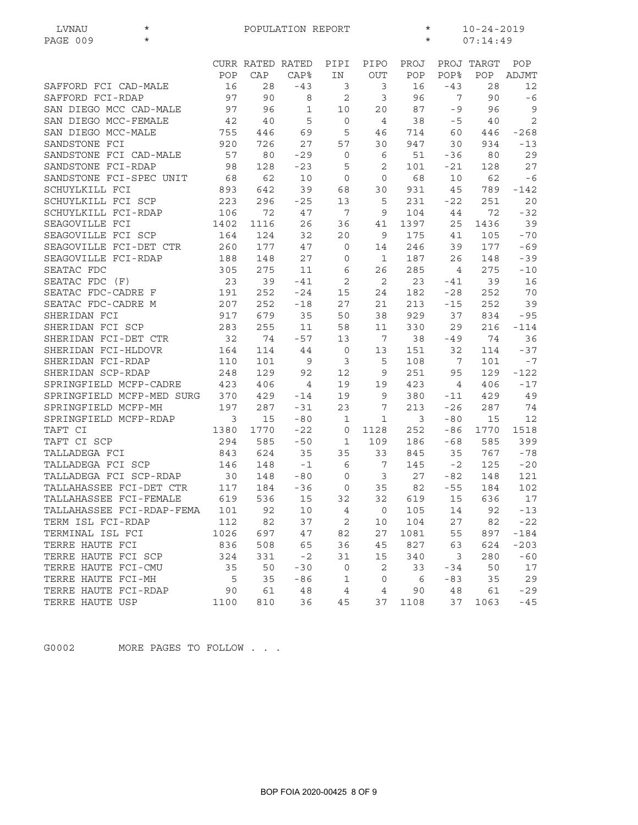| LVNAU<br>$^\star$         | POPULATION REPORT<br>$\star$<br>$10 - 24 - 2019$ |                  |                |                |                |      |                 |            |                |  |  |
|---------------------------|--------------------------------------------------|------------------|----------------|----------------|----------------|------|-----------------|------------|----------------|--|--|
| PAGE 009<br>$\star$       | $^\star$                                         |                  |                |                |                |      |                 |            | 07:14:49       |  |  |
|                           |                                                  |                  |                |                |                |      |                 |            |                |  |  |
|                           |                                                  | CURR RATED RATED |                | PIPI           | PIPO           | PROJ |                 | PROJ TARGT | POP            |  |  |
|                           | POP                                              | CAP              | <b>CAP%</b>    | IN             | <b>OUT</b>     | POP  | POP%            | POP        | ADJMT          |  |  |
| SAFFORD FCI CAD-MALE      | 16                                               | 28               | $-43$          | 3              | 3              | 16   | $-43$           | 28         | 12             |  |  |
| SAFFORD FCI-RDAP          | 97                                               | 90               | 8              | 2              | 3              | 96   | 7               | 90         | $-6$           |  |  |
| SAN DIEGO MCC CAD-MALE    | 97                                               | 96               | $\mathbf 1$    | 10             | 20             | 87   | $-9$            | 96         | $\overline{9}$ |  |  |
| SAN DIEGO MCC-FEMALE      | 42                                               | 40               | 5              | 0              | $\overline{4}$ | 38   | $-5$            | 40         | 2              |  |  |
| SAN DIEGO MCC-MALE        | 755                                              | 446              | 69             | 5              | 46             | 714  | 60              | 446        | $-268$         |  |  |
| SANDSTONE FCI             | 920                                              | 726              | 27             | 57             | 30             | 947  | 30              | 934        | $-13$          |  |  |
| SANDSTONE FCI CAD-MALE    | 57                                               | 80               | $-29$          | $\mathbf 0$    | 6              | 51   | $-36$           | 80         | 29             |  |  |
| SANDSTONE FCI-RDAP        | 98                                               | 128              | $-23$          | 5              | 2              | 101  | $-21$           | 128        | 27             |  |  |
| SANDSTONE FCI-SPEC UNIT   | 68                                               | 62               | 10             | 0              | $\mathbf 0$    | 68   | 10              | 62         | $-6$           |  |  |
| SCHUYLKILL FCI            | 893                                              | 642              | 39             | 68             | 30             | 931  | 45              | 789        | $-142$         |  |  |
| SCHUYLKILL FCI SCP        | 223                                              | 296              | $-25$          | 13             | 5              | 231  | $-22$           | 251        | 20             |  |  |
| SCHUYLKILL FCI-RDAP       | 106                                              | 72               | 47             | 7              | 9              | 104  | 44              | 72         | $-32$          |  |  |
| SEAGOVILLE FCI            | 1402                                             | 1116             | 26             | 36             | 41             | 1397 | 25              | 1436       | 39             |  |  |
| SEAGOVILLE FCI SCP        | 164                                              | 124              | 32             | 20             | 9              | 175  | 41              | 105        | $-70$          |  |  |
| SEAGOVILLE FCI-DET CTR    | 260                                              | 177              | 47             | 0              | 14             | 246  | 39              | 177        | $-69$          |  |  |
| SEAGOVILLE FCI-RDAP       | 188                                              | 148              | 27             | 0              | 1              | 187  | 26              | 148        | $-39$          |  |  |
| SEATAC FDC                | 305                                              | 275              | 11             | 6              | 26             | 285  | 4               | 275        | $-10$          |  |  |
| SEATAC FDC (F)            | 23                                               | 39               | $-41$          | $\overline{c}$ | 2              | 23   | $-41$           | 39         | 16             |  |  |
| SEATAC FDC-CADRE F        | 191                                              | 252              | $-24$          | 15             | 24             | 182  | $-28$           | 252        | 70             |  |  |
| SEATAC FDC-CADRE M        | 207                                              | 252              | $-18$          | 27             | 21             | 213  | $-15$           | 252        | 39             |  |  |
| SHERIDAN FCI              | 917                                              | 679              | 35             | 50             | 38             | 929  | 37              | 834        | $-95$          |  |  |
| SHERIDAN FCI SCP          | 283                                              | 255              | 11             | 58             | 11             | 330  | 29              | 216        | $-114$         |  |  |
| SHERIDAN FCI-DET CTR      | 32                                               | 74               | $-57$          | 13             | 7              | 38   | $-49$           | 74         | 36             |  |  |
| SHERIDAN FCI-HLDOVR       | 164                                              | 114              | 44             | $\overline{0}$ | 13             | 151  | 32              | 114        | $-37$          |  |  |
| SHERIDAN FCI-RDAP         | 110                                              | 101              | 9              | 3              | 5              | 108  | 7               | 101        | $-7$           |  |  |
| SHERIDAN SCP-RDAP         | 248                                              | 129              | 92             | 12             | 9              | 251  | 95              | 129        | $-122$         |  |  |
| SPRINGFIELD MCFP-CADRE    | 423                                              | 406              | $\overline{4}$ | 19             | 19             | 423  | $4\overline{ }$ | 406        | $-17$          |  |  |
| SPRINGFIELD MCFP-MED SURG | 370                                              | 429              | $-14$          | 19             | 9              | 380  | $-11$           | 429        | 49             |  |  |
| SPRINGFIELD MCFP-MH       | 197                                              | 287              | $-31$          | 23             | 7              | 213  | $-26$           | 287        | 74             |  |  |
| SPRINGFIELD MCFP-RDAP     | 3                                                | 15               | $-80$          | 1              | 1              | 3    | $-80$           | 15         | 12             |  |  |
| TAFT CI                   | 1380                                             | 1770             | $-22$          | $\mathbf 0$    | 1128           | 252  | -86             | 1770       | 1518           |  |  |
| TAFT CI SCP               | 294                                              | 585              | $-50$          | 1              | 109            | 186  | $-68$           | 585        | 399            |  |  |
| TALLADEGA FCI             | 843                                              | 624              | 35             | 35             | 33             | 845  | 35              | 767        | $-78$          |  |  |
| TALLADEGA FCI SCP         | 146                                              | 148              | $-1$           | 6              | 7              | 145  | $-2$            | 125        | $-20$          |  |  |
| TALLADEGA FCI SCP-RDAP    | 30                                               | 148              | $-80$          | $\mathbf 0$    | 3              | 27   | $-82$           | 148        | 121            |  |  |
| TALLAHASSEE FCI-DET CTR   | 117                                              | 184              | -36            | 0              | 35             | 82   | $-55$           | 184        | 102            |  |  |
| TALLAHASSEE FCI-FEMALE    | 619                                              | 536              | 15             | 32             | 32             | 619  | 15              | 636        | 17             |  |  |
| TALLAHASSEE FCI-RDAP-FEMA | 101                                              | 92               | 10             | $\overline{4}$ | 0              | 105  | 14              | 92         | $-13$          |  |  |
| TERM ISL FCI-RDAP         | 112                                              | 82               | 37             | $\mathbf{2}$   | 10             | 104  | 27              | 82         | $-22$          |  |  |
| TERMINAL ISL FCI          | 1026                                             | 697              | 47             | 82             | 27             | 1081 | 55              | 897        | $-184$         |  |  |
| TERRE HAUTE FCI           | 836                                              | 508              | 65             | 36             | 45             | 827  | 63              | 624        | $-203$         |  |  |
| TERRE HAUTE FCI SCP       | 324                                              | 331              | $-2$           | 31             | 15             | 340  | 3               | 280        | $-60$          |  |  |
| TERRE HAUTE FCI-CMU       | 35                                               | 50               | $-30$          | 0              | 2              | 33   | $-34$           | 50         | 17             |  |  |
| TERRE HAUTE FCI-MH        | 5                                                | 35               | $-86$          | 1              | 0              | 6    | $-83$           | 35         | 29             |  |  |
| TERRE HAUTE FCI-RDAP      | 90                                               | 61               | 48             | $\overline{4}$ | 4              | 90   | 48              | 61         | $-29$          |  |  |
| TERRE HAUTE USP           | 1100                                             | 810              | 36             | 45             | 37             | 1108 | 37              | 1063       | $-45$          |  |  |
|                           |                                                  |                  |                |                |                |      |                 |            |                |  |  |